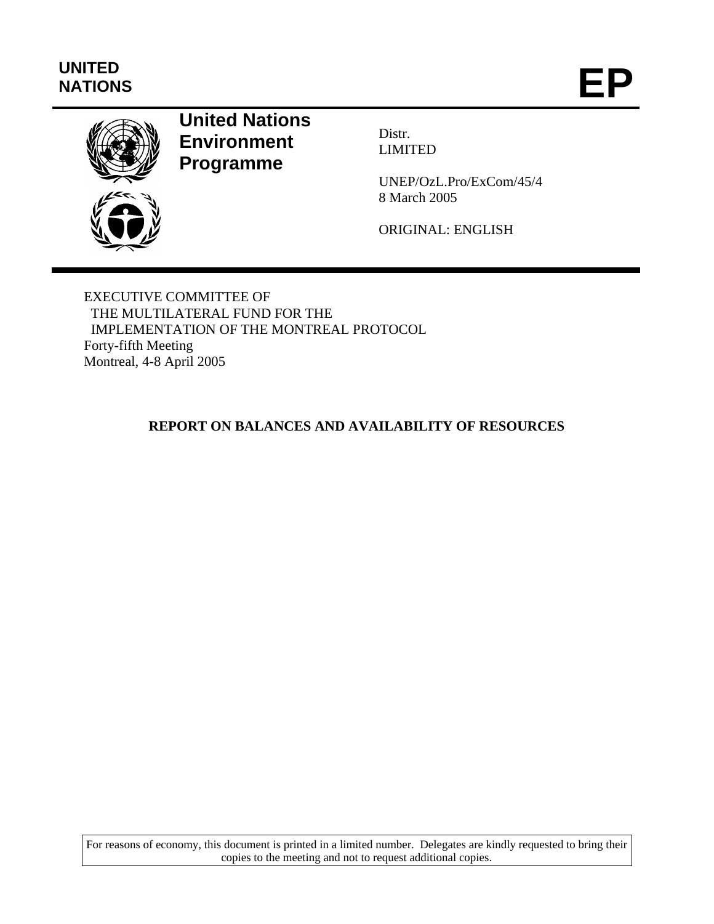# **UNITED**  UNITED<br>NATIONS **EP**



# **United Nations Environment Programme**

Distr. LIMITED

UNEP/OzL.Pro/ExCom/45/4 8 March 2005

ORIGINAL: ENGLISH

EXECUTIVE COMMITTEE OF THE MULTILATERAL FUND FOR THE IMPLEMENTATION OF THE MONTREAL PROTOCOL Forty-fifth Meeting Montreal, 4-8 April 2005

## **REPORT ON BALANCES AND AVAILABILITY OF RESOURCES**

For reasons of economy, this document is printed in a limited number. Delegates are kindly requested to bring their copies to the meeting and not to request additional copies.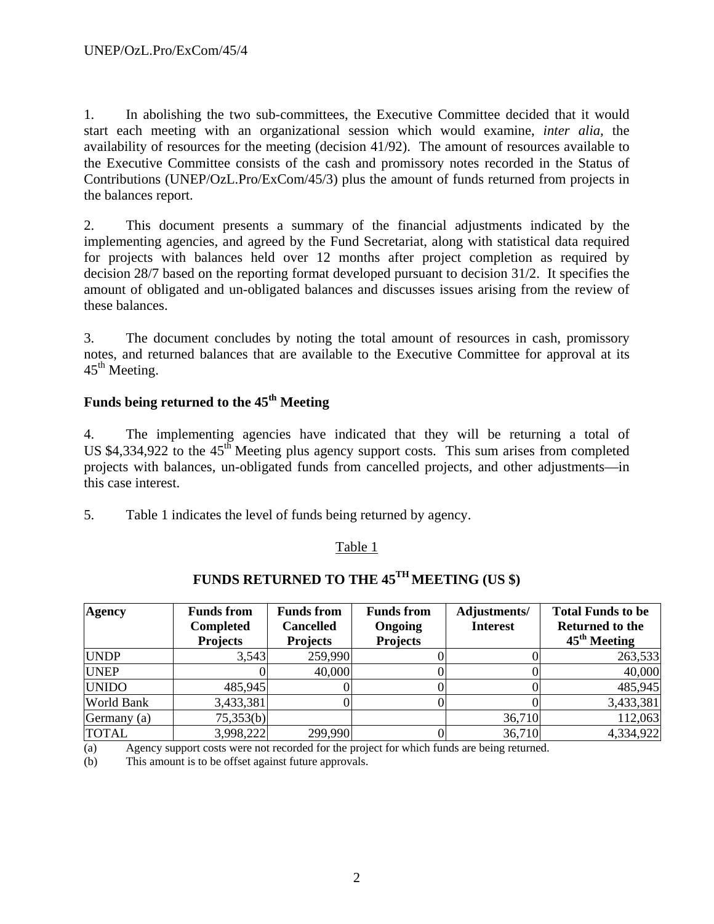1. In abolishing the two sub-committees, the Executive Committee decided that it would start each meeting with an organizational session which would examine, *inter alia,* the availability of resources for the meeting (decision 41/92). The amount of resources available to the Executive Committee consists of the cash and promissory notes recorded in the Status of Contributions (UNEP/OzL.Pro/ExCom/45/3) plus the amount of funds returned from projects in the balances report.

2. This document presents a summary of the financial adjustments indicated by the implementing agencies, and agreed by the Fund Secretariat, along with statistical data required for projects with balances held over 12 months after project completion as required by decision 28/7 based on the reporting format developed pursuant to decision 31/2. It specifies the amount of obligated and un-obligated balances and discusses issues arising from the review of these balances.

3. The document concludes by noting the total amount of resources in cash, promissory notes, and returned balances that are available to the Executive Committee for approval at its  $45<sup>th</sup>$  Meeting.

# Funds being returned to the 45<sup>th</sup> Meeting

4. The implementing agencies have indicated that they will be returning a total of US  $$4,334,922$  to the  $45<sup>th</sup>$  Meeting plus agency support costs. This sum arises from completed projects with balances, un-obligated funds from cancelled projects, and other adjustments—in this case interest.

5. Table 1 indicates the level of funds being returned by agency.

## Table 1

| <b>Agency</b>     | <b>Funds from</b><br><b>Completed</b><br><b>Projects</b> | <b>Funds from</b><br><b>Cancelled</b><br><b>Projects</b> | <b>Funds from</b><br>Ongoing<br><b>Projects</b> | Adjustments/<br><b>Interest</b> | <b>Total Funds to be</b><br><b>Returned to the</b><br>$45th$ Meeting |
|-------------------|----------------------------------------------------------|----------------------------------------------------------|-------------------------------------------------|---------------------------------|----------------------------------------------------------------------|
| <b>UNDP</b>       | 3,543                                                    | 259,990                                                  |                                                 |                                 | 263,533                                                              |
| <b>UNEP</b>       |                                                          | 40,000                                                   |                                                 |                                 | 40,000                                                               |
| <b>UNIDO</b>      | 485,945                                                  |                                                          |                                                 |                                 | 485,945                                                              |
| <b>World Bank</b> | 3,433,381                                                |                                                          |                                                 |                                 | 3,433,381                                                            |
| Germany (a)       | 75,353(b)                                                |                                                          |                                                 | 36,710                          | 112,063                                                              |
| <b>TOTAL</b>      | 3,998,222                                                | 299,990                                                  |                                                 | 36,710                          | 4,334,922                                                            |

# **FUNDS RETURNED TO THE 45TH MEETING (US \$)**

(a) Agency support costs were not recorded for the project for which funds are being returned.

(b) This amount is to be offset against future approvals.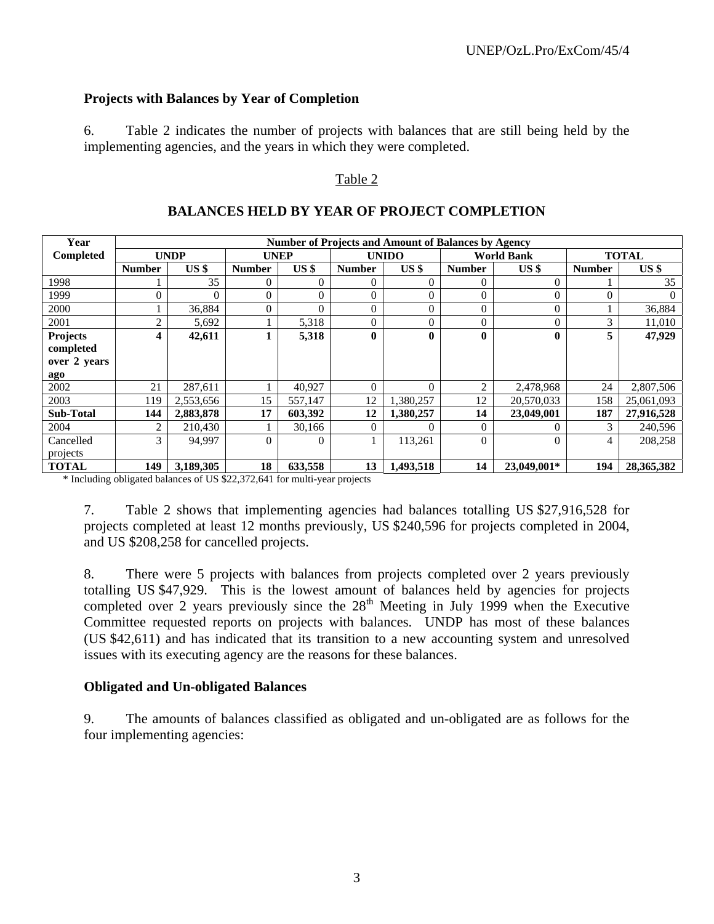### **Projects with Balances by Year of Completion**

6. Table 2 indicates the number of projects with balances that are still being held by the implementing agencies, and the years in which they were completed.

## Table 2

| Year             |               |                 |               |                 |               | <b>Number of Projects and Amount of Balances by Agency</b> |               |                   |               |                 |
|------------------|---------------|-----------------|---------------|-----------------|---------------|------------------------------------------------------------|---------------|-------------------|---------------|-----------------|
| Completed        |               | <b>UNDP</b>     | <b>UNEP</b>   |                 |               | <b>UNIDO</b>                                               |               | <b>World Bank</b> |               | <b>TOTAL</b>    |
|                  | <b>Number</b> | US <sub>s</sub> | <b>Number</b> | US <sub>3</sub> | <b>Number</b> | US <sub>s</sub>                                            | <b>Number</b> | US <sub>s</sub>   | <b>Number</b> | US <sub>5</sub> |
| 1998             |               | 35              | 0             | $\Omega$        | $\Omega$      | 0                                                          | 0             | $\boldsymbol{0}$  |               | 35              |
| 1999             |               | $\Omega$        | 0             | $\Omega$        | $\theta$      | $\theta$                                                   | 0             | $\overline{0}$    | $\theta$      | $\theta$        |
| 2000             |               | 36,884          | 0             | $\Omega$        | $\Omega$      | $\theta$                                                   | 0             | $\overline{0}$    |               | 36,884          |
| 2001             | ⌒             | 5,692           |               | 5,318           | $\Omega$      | $\theta$                                                   | 0             | $\overline{0}$    | 3             | 11,010          |
| <b>Projects</b>  | 4             | 42,611          |               | 5,318           | $\mathbf{0}$  | $\mathbf{0}$                                               | $\bf{0}$      | $\bf{0}$          | 5             | 47,929          |
| completed        |               |                 |               |                 |               |                                                            |               |                   |               |                 |
| over 2 years     |               |                 |               |                 |               |                                                            |               |                   |               |                 |
| ago              |               |                 |               |                 |               |                                                            |               |                   |               |                 |
| 2002             | 21            | 287,611         |               | 40,927          | $\Omega$      | $\Omega$                                                   | 2             | 2,478,968         | 24            | 2,807,506       |
| 2003             | 119           | 2,553,656       | 15            | 557,147         | 12            | 1,380,257                                                  | 12            | 20,570,033        | 158           | 25,061,093      |
| <b>Sub-Total</b> | 144           | 2,883,878       | 17            | 603,392         | 12            | 1,380,257                                                  | 14            | 23,049,001        | 187           | 27,916,528      |
| 2004             |               | 210,430         |               | 30,166          | $\Omega$      |                                                            | 0             | $\Omega$          | 3             | 240,596         |
| Cancelled        | 3             | 94.997          | 0             | $\Omega$        |               | 113,261                                                    | 0             | $\theta$          | 4             | 208,258         |
| projects         |               |                 |               |                 |               |                                                            |               |                   |               |                 |
| <b>TOTAL</b>     | 149           | 3,189,305       | 18            | 633,558         | 13            | 1,493,518                                                  | 14            | 23,049,001*       | 194           | 28, 365, 382    |

### **BALANCES HELD BY YEAR OF PROJECT COMPLETION**

\* Including obligated balances of US \$22,372,641 for multi-year projects

7. Table 2 shows that implementing agencies had balances totalling US \$27,916,528 for projects completed at least 12 months previously, US \$240,596 for projects completed in 2004, and US \$208,258 for cancelled projects.

8. There were 5 projects with balances from projects completed over 2 years previously totalling US \$47,929. This is the lowest amount of balances held by agencies for projects completed over 2 years previously since the  $28<sup>th</sup>$  Meeting in July 1999 when the Executive Committee requested reports on projects with balances. UNDP has most of these balances (US \$42,611) and has indicated that its transition to a new accounting system and unresolved issues with its executing agency are the reasons for these balances.

#### **Obligated and Un-obligated Balances**

9. The amounts of balances classified as obligated and un-obligated are as follows for the four implementing agencies: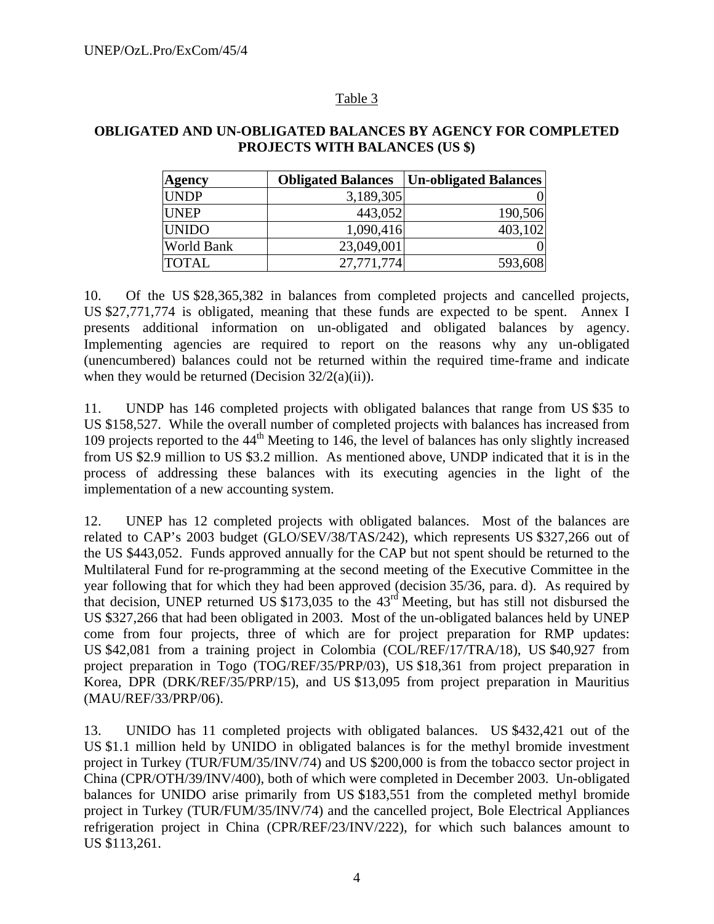#### Table 3

## **OBLIGATED AND UN-OBLIGATED BALANCES BY AGENCY FOR COMPLETED PROJECTS WITH BALANCES (US \$)**

| <b>Agency</b>     | <b>Obligated Balances</b> | <b>Un-obligated Balances</b> |
|-------------------|---------------------------|------------------------------|
| <b>UNDP</b>       | 3,189,305                 |                              |
| <b>UNEP</b>       | 443,052                   | 190,506                      |
| <b>UNIDO</b>      | 1,090,416                 | 403,102                      |
| <b>World Bank</b> | 23,049,001                |                              |
| <b>TOTAL</b>      | 27,771,774                | 593,608                      |

10. Of the US \$28,365,382 in balances from completed projects and cancelled projects, US \$27,771,774 is obligated, meaning that these funds are expected to be spent. Annex I presents additional information on un-obligated and obligated balances by agency. Implementing agencies are required to report on the reasons why any un-obligated (unencumbered) balances could not be returned within the required time-frame and indicate when they would be returned (Decision  $32/2(a)(ii)$ ).

11. UNDP has 146 completed projects with obligated balances that range from US \$35 to US \$158,527. While the overall number of completed projects with balances has increased from 109 projects reported to the  $44<sup>th</sup>$  Meeting to 146, the level of balances has only slightly increased from US \$2.9 million to US \$3.2 million. As mentioned above, UNDP indicated that it is in the process of addressing these balances with its executing agencies in the light of the implementation of a new accounting system.

12. UNEP has 12 completed projects with obligated balances. Most of the balances are related to CAP's 2003 budget (GLO/SEV/38/TAS/242), which represents US \$327,266 out of the US \$443,052. Funds approved annually for the CAP but not spent should be returned to the Multilateral Fund for re-programming at the second meeting of the Executive Committee in the year following that for which they had been approved (decision 35/36, para. d). As required by that decision, UNEP returned US \$173,035 to the  $43<sup>rd</sup>$  Meeting, but has still not disbursed the US \$327,266 that had been obligated in 2003. Most of the un-obligated balances held by UNEP come from four projects, three of which are for project preparation for RMP updates: US \$42,081 from a training project in Colombia (COL/REF/17/TRA/18), US \$40,927 from project preparation in Togo (TOG/REF/35/PRP/03), US \$18,361 from project preparation in Korea, DPR (DRK/REF/35/PRP/15), and US \$13,095 from project preparation in Mauritius (MAU/REF/33/PRP/06).

13. UNIDO has 11 completed projects with obligated balances. US \$432,421 out of the US \$1.1 million held by UNIDO in obligated balances is for the methyl bromide investment project in Turkey (TUR/FUM/35/INV/74) and US \$200,000 is from the tobacco sector project in China (CPR/OTH/39/INV/400), both of which were completed in December 2003. Un-obligated balances for UNIDO arise primarily from US \$183,551 from the completed methyl bromide project in Turkey (TUR/FUM/35/INV/74) and the cancelled project, Bole Electrical Appliances refrigeration project in China (CPR/REF/23/INV/222), for which such balances amount to US \$113,261.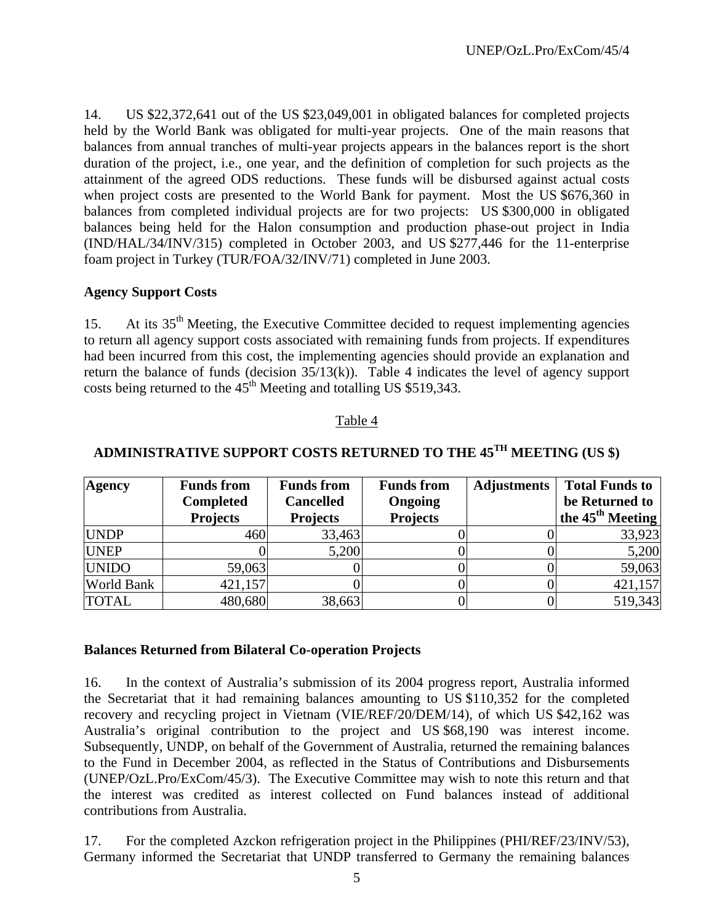14. US \$22,372,641 out of the US \$23,049,001 in obligated balances for completed projects held by the World Bank was obligated for multi-year projects. One of the main reasons that balances from annual tranches of multi-year projects appears in the balances report is the short duration of the project, i.e., one year, and the definition of completion for such projects as the attainment of the agreed ODS reductions. These funds will be disbursed against actual costs when project costs are presented to the World Bank for payment. Most the US \$676,360 in balances from completed individual projects are for two projects: US \$300,000 in obligated balances being held for the Halon consumption and production phase-out project in India (IND/HAL/34/INV/315) completed in October 2003, and US \$277,446 for the 11-enterprise foam project in Turkey (TUR/FOA/32/INV/71) completed in June 2003.

### **Agency Support Costs**

15. At its 35<sup>th</sup> Meeting, the Executive Committee decided to request implementing agencies to return all agency support costs associated with remaining funds from projects. If expenditures had been incurred from this cost, the implementing agencies should provide an explanation and return the balance of funds (decision  $35/13(k)$ ). Table 4 indicates the level of agency support costs being returned to the  $45<sup>th</sup>$  Meeting and totalling US \$519,343.

#### Table 4

| Agency            | <b>Funds from</b>                   | <b>Funds from</b>                   | <b>Funds from</b>          | <b>Adjustments</b> | <b>Total Funds to</b>                          |
|-------------------|-------------------------------------|-------------------------------------|----------------------------|--------------------|------------------------------------------------|
|                   | <b>Completed</b><br><b>Projects</b> | <b>Cancelled</b><br><b>Projects</b> | Ongoing<br><b>Projects</b> |                    | be Returned to<br>the $45^{\text{th}}$ Meeting |
| <b>UNDP</b>       | 460                                 | 33,463                              |                            |                    | 33,923                                         |
| <b>UNEP</b>       |                                     | 5,200                               |                            |                    | 5,200                                          |
| <b>UNIDO</b>      | 59,063                              |                                     |                            |                    | 59,063                                         |
| <b>World Bank</b> | 421,157                             |                                     |                            |                    | 421,157                                        |
| <b>TOTAL</b>      | 480,680                             | 38,663                              |                            |                    | 519,343                                        |

# **ADMINISTRATIVE SUPPORT COSTS RETURNED TO THE 45TH MEETING (US \$)**

#### **Balances Returned from Bilateral Co-operation Projects**

16. In the context of Australia's submission of its 2004 progress report, Australia informed the Secretariat that it had remaining balances amounting to US \$110,352 for the completed recovery and recycling project in Vietnam (VIE/REF/20/DEM/14), of which US \$42,162 was Australia's original contribution to the project and US \$68,190 was interest income. Subsequently, UNDP, on behalf of the Government of Australia, returned the remaining balances to the Fund in December 2004, as reflected in the Status of Contributions and Disbursements (UNEP/OzL.Pro/ExCom/45/3). The Executive Committee may wish to note this return and that the interest was credited as interest collected on Fund balances instead of additional contributions from Australia.

17. For the completed Azckon refrigeration project in the Philippines (PHI/REF/23/INV/53), Germany informed the Secretariat that UNDP transferred to Germany the remaining balances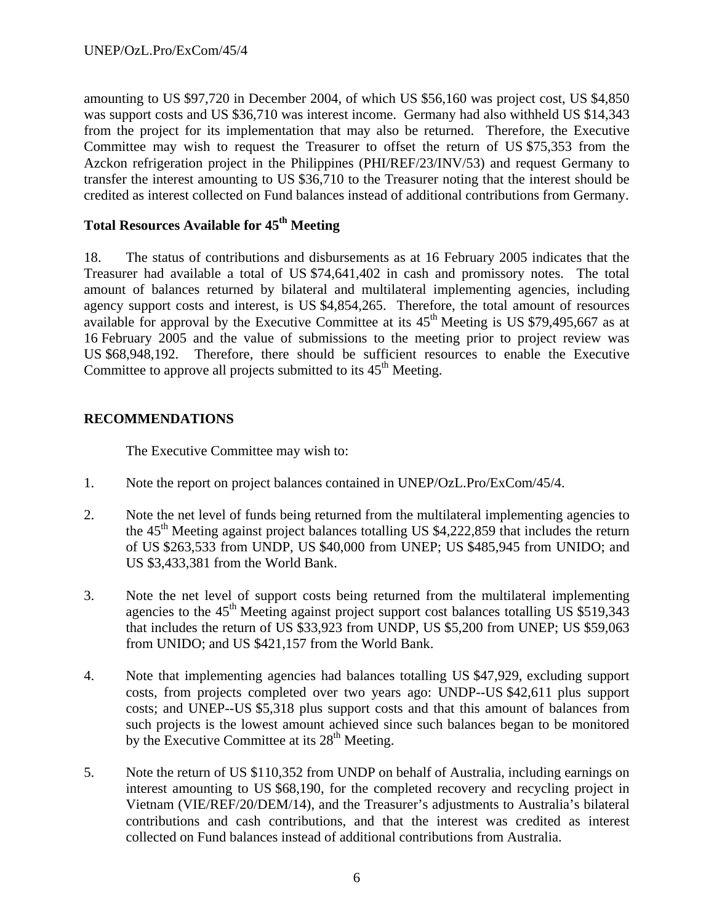amounting to US \$97,720 in December 2004, of which US \$56,160 was project cost, US \$4,850 was support costs and US \$36,710 was interest income. Germany had also withheld US \$14,343 from the project for its implementation that may also be returned. Therefore, the Executive Committee may wish to request the Treasurer to offset the return of US \$75,353 from the Azckon refrigeration project in the Philippines (PHI/REF/23/INV/53) and request Germany to transfer the interest amounting to US \$36,710 to the Treasurer noting that the interest should be credited as interest collected on Fund balances instead of additional contributions from Germany.

## Total Resources Available for  $45<sup>th</sup>$  Meeting

18. The status of contributions and disbursements as at 16 February 2005 indicates that the Treasurer had available a total of US \$74,641,402 in cash and promissory notes. The total amount of balances returned by bilateral and multilateral implementing agencies, including agency support costs and interest, is US \$4,854,265. Therefore, the total amount of resources available for approval by the Executive Committee at its  $45<sup>th</sup>$  Meeting is US \$79,495,667 as at 16 February 2005 and the value of submissions to the meeting prior to project review was US \$68,948,192. Therefore, there should be sufficient resources to enable the Executive Committee to approve all projects submitted to its  $45<sup>th</sup>$  Meeting.

## **RECOMMENDATIONS**

The Executive Committee may wish to:

- 1. Note the report on project balances contained in UNEP/OzL.Pro/ExCom/45/4.
- 2. Note the net level of funds being returned from the multilateral implementing agencies to the  $45<sup>th</sup>$  Meeting against project balances totalling US \$4,222,859 that includes the return of US \$263,533 from UNDP, US \$40,000 from UNEP; US \$485,945 from UNIDO; and US \$3,433,381 from the World Bank.
- 3. Note the net level of support costs being returned from the multilateral implementing agencies to the  $45<sup>th</sup>$  Meeting against project support cost balances totalling US \$519,343 that includes the return of US \$33,923 from UNDP, US \$5,200 from UNEP; US \$59,063 from UNIDO; and US \$421,157 from the World Bank.
- 4. Note that implementing agencies had balances totalling US \$47,929, excluding support costs, from projects completed over two years ago: UNDP--US \$42,611 plus support costs; and UNEP--US \$5,318 plus support costs and that this amount of balances from such projects is the lowest amount achieved since such balances began to be monitored by the Executive Committee at its  $28<sup>th</sup>$  Meeting.
- 5. Note the return of US \$110,352 from UNDP on behalf of Australia, including earnings on interest amounting to US \$68,190, for the completed recovery and recycling project in Vietnam (VIE/REF/20/DEM/14), and the Treasurer's adjustments to Australia's bilateral contributions and cash contributions, and that the interest was credited as interest collected on Fund balances instead of additional contributions from Australia.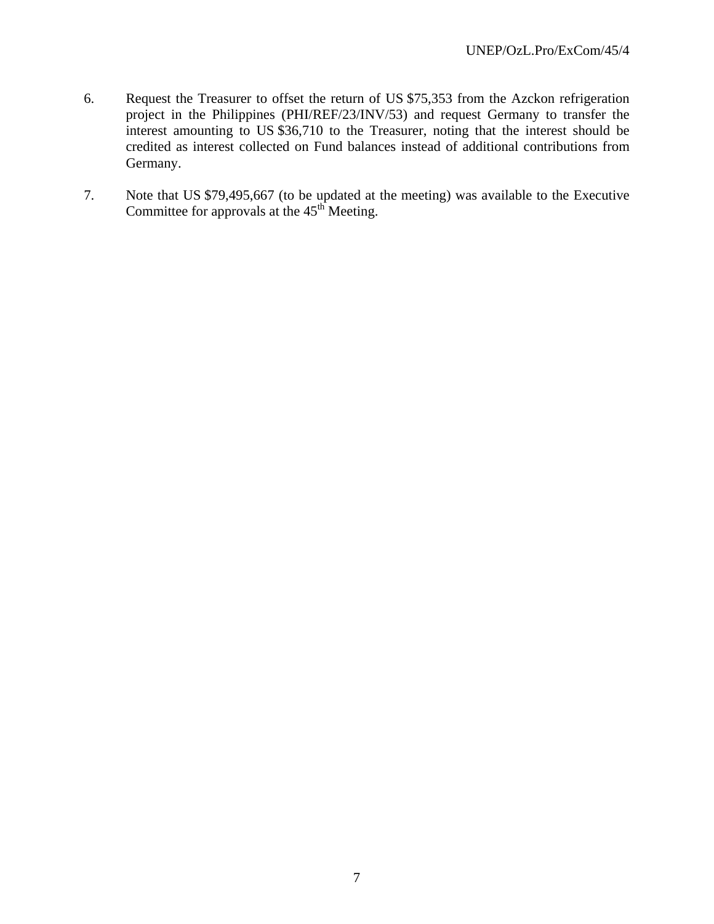- 6. Request the Treasurer to offset the return of US \$75,353 from the Azckon refrigeration project in the Philippines (PHI/REF/23/INV/53) and request Germany to transfer the interest amounting to US \$36,710 to the Treasurer, noting that the interest should be credited as interest collected on Fund balances instead of additional contributions from Germany.
- 7. Note that US \$79,495,667 (to be updated at the meeting) was available to the Executive Committee for approvals at the  $45<sup>th</sup>$  Meeting.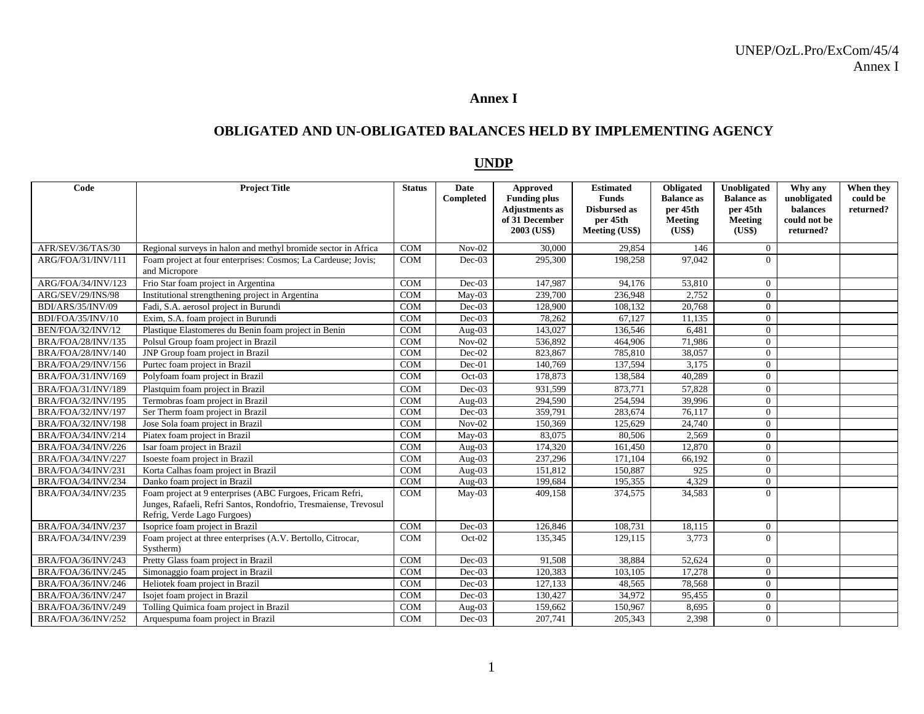#### **Annex I**

#### **OBLIGATED AND UN-OBLIGATED BALANCES HELD BY IMPLEMENTING AGENCY**

#### **UNDP**

| Code               | <b>Project Title</b>                                                                                                                                        | <b>Status</b> | <b>Date</b><br>Completed | <b>Approved</b><br><b>Funding plus</b><br><b>Adjustments as</b><br>of 31 December<br>2003 (US\$) | <b>Estimated</b><br><b>Funds</b><br><b>Disbursed</b> as<br>per 45th<br>Meeting (US\$) | Obligated<br><b>Balance</b> as<br>per 45th<br>Meeting<br>(US\$) | Unobligated<br><b>Balance as</b><br>per 45th<br>Meeting<br>(US\$) | Why any<br>unobligated<br>balances<br>could not be<br>returned? | When they<br>could be<br>returned? |
|--------------------|-------------------------------------------------------------------------------------------------------------------------------------------------------------|---------------|--------------------------|--------------------------------------------------------------------------------------------------|---------------------------------------------------------------------------------------|-----------------------------------------------------------------|-------------------------------------------------------------------|-----------------------------------------------------------------|------------------------------------|
| AFR/SEV/36/TAS/30  | Regional surveys in halon and methyl bromide sector in Africa                                                                                               | <b>COM</b>    | $Nov-02$                 | 30,000                                                                                           | 29.854                                                                                | 146                                                             | $\theta$                                                          |                                                                 |                                    |
| ARG/FOA/31/INV/111 | Foam project at four enterprises: Cosmos; La Cardeuse; Jovis;<br>and Micropore                                                                              | <b>COM</b>    | $Dec-03$                 | 295,300                                                                                          | 198,258                                                                               | 97.042                                                          | $\Omega$                                                          |                                                                 |                                    |
| ARG/FOA/34/INV/123 | Frio Star foam project in Argentina                                                                                                                         | <b>COM</b>    | $Dec-03$                 | 147.987                                                                                          | 94.176                                                                                | 53,810                                                          | $\Omega$                                                          |                                                                 |                                    |
| ARG/SEV/29/INS/98  | Institutional strengthening project in Argentina                                                                                                            | <b>COM</b>    | May-03                   | 239,700                                                                                          | 236,948                                                                               | 2,752                                                           | $\mathbf{0}$                                                      |                                                                 |                                    |
| BDI/ARS/35/INV/09  | Fadi, S.A. aerosol project in Burundi                                                                                                                       | <b>COM</b>    | $Dec-03$                 | 128,900                                                                                          | 108,132                                                                               | 20,768                                                          | $\theta$                                                          |                                                                 |                                    |
| BDI/FOA/35/INV/10  | Exim, S.A. foam project in Burundi                                                                                                                          | <b>COM</b>    | $Dec-03$                 | 78,262                                                                                           | 67,127                                                                                | 11,135                                                          | $\mathbf{0}$                                                      |                                                                 |                                    |
| BEN/FOA/32/INV/12  | Plastique Elastomeres du Benin foam project in Benin                                                                                                        | <b>COM</b>    | Aug- $03$                | 143,027                                                                                          | 136,546                                                                               | 6,481                                                           | $\mathbf{0}$                                                      |                                                                 |                                    |
| BRA/FOA/28/INV/135 | Polsul Group foam project in Brazil                                                                                                                         | <b>COM</b>    | $Nov-02$                 | 536,892                                                                                          | 464,906                                                                               | 71,986                                                          | $\mathbf{0}$                                                      |                                                                 |                                    |
| BRA/FOA/28/INV/140 | JNP Group foam project in Brazil                                                                                                                            | <b>COM</b>    | Dec-02                   | 823,867                                                                                          | 785,810                                                                               | 38,057                                                          | $\Omega$                                                          |                                                                 |                                    |
| BRA/FOA/29/INV/156 | Purtec foam project in Brazil                                                                                                                               | <b>COM</b>    | $Dec-01$                 | 140,769                                                                                          | 137,594                                                                               | 3,175                                                           | $\theta$                                                          |                                                                 |                                    |
| BRA/FOA/31/INV/169 | Polyfoam foam project in Brazil                                                                                                                             | <b>COM</b>    | $Oct-03$                 | 178,873                                                                                          | 138,584                                                                               | 40.289                                                          | $\Omega$                                                          |                                                                 |                                    |
| BRA/FOA/31/INV/189 | Plastquim foam project in Brazil                                                                                                                            | <b>COM</b>    | $Dec-03$                 | 931,599                                                                                          | 873,771                                                                               | 57,828                                                          | $\theta$                                                          |                                                                 |                                    |
| BRA/FOA/32/INV/195 | Termobras foam project in Brazil                                                                                                                            | <b>COM</b>    | Aug-03                   | 294,590                                                                                          | 254,594                                                                               | 39,996                                                          | $\Omega$                                                          |                                                                 |                                    |
| BRA/FOA/32/INV/197 | Ser Therm foam project in Brazil                                                                                                                            | <b>COM</b>    | $Dec-03$                 | 359,791                                                                                          | 283,674                                                                               | 76,117                                                          | $\theta$                                                          |                                                                 |                                    |
| BRA/FOA/32/INV/198 | Jose Sola foam project in Brazil                                                                                                                            | <b>COM</b>    | $Nov-02$                 | 150,369                                                                                          | 125,629                                                                               | 24,740                                                          | $\Omega$                                                          |                                                                 |                                    |
| BRA/FOA/34/INV/214 | Piatex foam project in Brazil                                                                                                                               | <b>COM</b>    | May-03                   | 83,075                                                                                           | 80,506                                                                                | 2,569                                                           | $\Omega$                                                          |                                                                 |                                    |
| BRA/FOA/34/INV/226 | Isar foam project in Brazil                                                                                                                                 | <b>COM</b>    | Aug-03                   | 174,320                                                                                          | 161,450                                                                               | 12,870                                                          | $\Omega$                                                          |                                                                 |                                    |
| BRA/FOA/34/INV/227 | Isoeste foam project in Brazil                                                                                                                              | <b>COM</b>    | Aug-03                   | 237,296                                                                                          | 171,104                                                                               | 66,192                                                          | $\Omega$                                                          |                                                                 |                                    |
| BRA/FOA/34/INV/231 | Korta Calhas foam project in Brazil                                                                                                                         | <b>COM</b>    | Aug- $03$                | 151,812                                                                                          | 150,887                                                                               | 925                                                             | $\mathbf{0}$                                                      |                                                                 |                                    |
| BRA/FOA/34/INV/234 | Danko foam project in Brazil                                                                                                                                | <b>COM</b>    | Aug-03                   | 199.684                                                                                          | 195.355                                                                               | 4.329                                                           | $\theta$                                                          |                                                                 |                                    |
| BRA/FOA/34/INV/235 | Foam project at 9 enterprises (ABC Furgoes, Fricam Refri,<br>Junges, Rafaeli, Refri Santos, Rondofrio, Tresmaiense, Trevosul<br>Refrig, Verde Lago Furgoes) | <b>COM</b>    | May-03                   | 409,158                                                                                          | 374,575                                                                               | 34,583                                                          | $\Omega$                                                          |                                                                 |                                    |
| BRA/FOA/34/INV/237 | Isoprice foam project in Brazil                                                                                                                             | <b>COM</b>    | $Dec-03$                 | 126.846                                                                                          | 108.731                                                                               | 18,115                                                          | $\mathbf{0}$                                                      |                                                                 |                                    |
| BRA/FOA/34/INV/239 | Foam project at three enterprises (A.V. Bertollo, Citrocar,<br>Systherm)                                                                                    | <b>COM</b>    | $Oct-02$                 | 135,345                                                                                          | 129,115                                                                               | 3,773                                                           | $\Omega$                                                          |                                                                 |                                    |
| BRA/FOA/36/INV/243 | Pretty Glass foam project in Brazil                                                                                                                         | <b>COM</b>    | $Dec-03$                 | 91,508                                                                                           | 38,884                                                                                | 52,624                                                          | $\theta$                                                          |                                                                 |                                    |
| BRA/FOA/36/INV/245 | Simonaggio foam project in Brazil                                                                                                                           | <b>COM</b>    | $Dec-03$                 | 120,383                                                                                          | 103.105                                                                               | 17,278                                                          | $\Omega$                                                          |                                                                 |                                    |
| BRA/FOA/36/INV/246 | Heliotek foam project in Brazil                                                                                                                             | <b>COM</b>    | $Dec-03$                 | 127,133                                                                                          | 48,565                                                                                | 78,568                                                          | $\Omega$                                                          |                                                                 |                                    |
| BRA/FOA/36/INV/247 | Isojet foam project in Brazil                                                                                                                               | <b>COM</b>    | $Dec-03$                 | 130,427                                                                                          | 34,972                                                                                | 95,455                                                          | $\theta$                                                          |                                                                 |                                    |
| BRA/FOA/36/INV/249 | Tolling Quimica foam project in Brazil                                                                                                                      | <b>COM</b>    | Aug-03                   | 159,662                                                                                          | 150,967                                                                               | 8,695                                                           | $\overline{0}$                                                    |                                                                 |                                    |
| BRA/FOA/36/INV/252 | Arquespuma foam project in Brazil                                                                                                                           | <b>COM</b>    | $Dec-03$                 | 207,741                                                                                          | 205,343                                                                               | 2,398                                                           | $\theta$                                                          |                                                                 |                                    |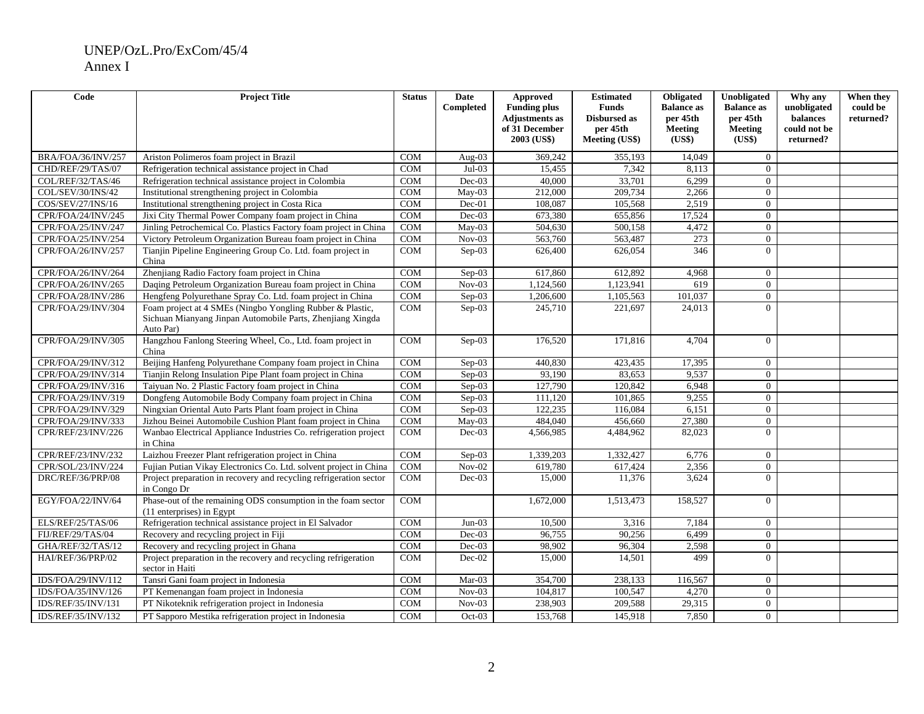| Code               | <b>Project Title</b>                                                                                                                 | <b>Status</b> | <b>Date</b><br>Completed   | <b>Approved</b><br><b>Funding plus</b><br><b>Adjustments</b> as<br>of 31 December<br>2003 (US\$) | <b>Estimated</b><br><b>Funds</b><br><b>Disbursed as</b><br>per 45th<br>Meeting (US\$) | Obligated<br><b>Balance</b> as<br>per 45th<br><b>Meeting</b><br>(US\$) | Unobligated<br><b>Balance as</b><br>per 45th<br><b>Meeting</b><br>(US\$) | Why any<br>unobligated<br>balances<br>could not be<br>returned? | When they<br>could be<br>returned? |
|--------------------|--------------------------------------------------------------------------------------------------------------------------------------|---------------|----------------------------|--------------------------------------------------------------------------------------------------|---------------------------------------------------------------------------------------|------------------------------------------------------------------------|--------------------------------------------------------------------------|-----------------------------------------------------------------|------------------------------------|
| BRA/FOA/36/INV/257 | Ariston Polimeros foam project in Brazil                                                                                             | <b>COM</b>    | Aug- $03$                  | 369,242                                                                                          | 355,193                                                                               | 14,049                                                                 | $\Omega$                                                                 |                                                                 |                                    |
| CHD/REF/29/TAS/07  | Refrigeration technical assistance project in Chad                                                                                   | <b>COM</b>    | $Jul-03$                   | 15,455                                                                                           | 7,342                                                                                 | 8,113                                                                  | $\overline{0}$                                                           |                                                                 |                                    |
| COL/REF/32/TAS/46  | Refrigeration technical assistance project in Colombia                                                                               | <b>COM</b>    | $Dec-03$                   | 40,000                                                                                           | 33,701                                                                                | 6,299                                                                  | $\overline{0}$                                                           |                                                                 |                                    |
| COL/SEV/30/INS/42  | Institutional strengthening project in Colombia                                                                                      | <b>COM</b>    | May-03                     | 212,000                                                                                          | 209,734                                                                               | 2,266                                                                  | $\theta$                                                                 |                                                                 |                                    |
| COS/SEV/27/INS/16  | Institutional strengthening project in Costa Rica                                                                                    | <b>COM</b>    | $Dec-01$                   | 108,087                                                                                          | 105,568                                                                               | 2,519                                                                  | $\overline{0}$                                                           |                                                                 |                                    |
| CPR/FOA/24/INV/245 | Jixi City Thermal Power Company foam project in China                                                                                | <b>COM</b>    | $Dec-03$                   | 673,380                                                                                          | 655,856                                                                               | 17,524                                                                 | $\theta$                                                                 |                                                                 |                                    |
| CPR/FOA/25/INV/247 | Jinling Petrochemical Co. Plastics Factory foam project in China                                                                     | <b>COM</b>    | $\overline{\text{May-}03}$ | 504,630                                                                                          | 500,158                                                                               | 4,472                                                                  | $\Omega$                                                                 |                                                                 |                                    |
| CPR/FOA/25/INV/254 | Victory Petroleum Organization Bureau foam project in China                                                                          | COM           | $Nov-03$                   | 563,760                                                                                          | 563,487                                                                               | 273                                                                    | $\mathbf{0}$                                                             |                                                                 |                                    |
| CPR/FOA/26/INV/257 | Tianjin Pipeline Engineering Group Co. Ltd. foam project in<br>China                                                                 | COM           | $Sep-03$                   | 626,400                                                                                          | 626,054                                                                               | 346                                                                    | $\Omega$                                                                 |                                                                 |                                    |
| CPR/FOA/26/INV/264 | Zhenjiang Radio Factory foam project in China                                                                                        | <b>COM</b>    | $Sep-03$                   | 617,860                                                                                          | 612,892                                                                               | 4,968                                                                  | $\overline{0}$                                                           |                                                                 |                                    |
| CPR/FOA/26/INV/265 | Daqing Petroleum Organization Bureau foam project in China                                                                           | <b>COM</b>    | $Nov-03$                   | 1,124,560                                                                                        | 1,123,941                                                                             | 619                                                                    | $\Omega$                                                                 |                                                                 |                                    |
| CPR/FOA/28/INV/286 | Hengfeng Polyurethane Spray Co. Ltd. foam project in China                                                                           | COM           | $Sep-03$                   | 1,206,600                                                                                        | 1,105,563                                                                             | 101,037                                                                | $\overline{0}$                                                           |                                                                 |                                    |
| CPR/FOA/29/INV/304 | Foam project at 4 SMEs (Ningbo Yongling Rubber & Plastic,<br>Sichuan Mianyang Jinpan Automobile Parts, Zhenjiang Xingda<br>Auto Par) | COM           | Sep-03                     | 245,710                                                                                          | 221,697                                                                               | 24,013                                                                 | $\Omega$                                                                 |                                                                 |                                    |
| CPR/FOA/29/INV/305 | Hangzhou Fanlong Steering Wheel, Co., Ltd. foam project in<br>China                                                                  | <b>COM</b>    | Sep-03                     | 176,520                                                                                          | 171,816                                                                               | 4,704                                                                  | $\Omega$                                                                 |                                                                 |                                    |
| CPR/FOA/29/INV/312 | Beijing Hanfeng Polyurethane Company foam project in China                                                                           | <b>COM</b>    | Sep-03                     | 440,830                                                                                          | 423,435                                                                               | 17,395                                                                 | $\overline{0}$                                                           |                                                                 |                                    |
| CPR/FOA/29/INV/314 | Tianjin Relong Insulation Pipe Plant foam project in China                                                                           | <b>COM</b>    | $Sep-03$                   | 93,190                                                                                           | 83,653                                                                                | 9,537                                                                  | $\overline{0}$                                                           |                                                                 |                                    |
| CPR/FOA/29/INV/316 | Taiyuan No. 2 Plastic Factory foam project in China                                                                                  | <b>COM</b>    | Sep-03                     | 127,790                                                                                          | 120,842                                                                               | 6,948                                                                  | $\theta$                                                                 |                                                                 |                                    |
| CPR/FOA/29/INV/319 | Dongfeng Automobile Body Company foam project in China                                                                               | <b>COM</b>    | $Sep-03$                   | 111,120                                                                                          | 101,865                                                                               | 9,255                                                                  | $\overline{0}$                                                           |                                                                 |                                    |
| CPR/FOA/29/INV/329 | Ningxian Oriental Auto Parts Plant foam project in China                                                                             | <b>COM</b>    | $Sep-03$                   | 122,235                                                                                          | 116,084                                                                               | 6,151                                                                  | $\overline{0}$                                                           |                                                                 |                                    |
| CPR/FOA/29/INV/333 | Jizhou Beinei Automobile Cushion Plant foam project in China                                                                         | COM           | May-03                     | 484,040                                                                                          | 456,660                                                                               | 27,380                                                                 | $\theta$                                                                 |                                                                 |                                    |
| CPR/REF/23/INV/226 | Wanbao Electrical Appliance Industries Co. refrigeration project<br>in China                                                         | COM           | $Dec-03$                   | 4,566,985                                                                                        | 4,484,962                                                                             | 82,023                                                                 | $\theta$                                                                 |                                                                 |                                    |
| CPR/REF/23/INV/232 | Laizhou Freezer Plant refrigeration project in China                                                                                 | <b>COM</b>    | Sep-03                     | 1,339,203                                                                                        | 1,332,427                                                                             | 6,776                                                                  | $\Omega$                                                                 |                                                                 |                                    |
| CPR/SOL/23/INV/224 | Fujian Putian Vikay Electronics Co. Ltd. solvent project in China                                                                    | <b>COM</b>    | $Nov-02$                   | 619,780                                                                                          | 617,424                                                                               | 2,356                                                                  | $\overline{0}$                                                           |                                                                 |                                    |
| DRC/REF/36/PRP/08  | Project preparation in recovery and recycling refrigeration sector<br>in Congo Dr                                                    | COM           | $Dec-03$                   | 15,000                                                                                           | 11,376                                                                                | 3,624                                                                  | $\Omega$                                                                 |                                                                 |                                    |
| EGY/FOA/22/INV/64  | Phase-out of the remaining ODS consumption in the foam sector<br>(11 enterprises) in Egypt                                           | <b>COM</b>    |                            | 1,672,000                                                                                        | 1,513,473                                                                             | 158,527                                                                | $\Omega$                                                                 |                                                                 |                                    |
| ELS/REF/25/TAS/06  | Refrigeration technical assistance project in El Salvador                                                                            | <b>COM</b>    | $Jun-03$                   | 10,500                                                                                           | 3,316                                                                                 | 7,184                                                                  | $\overline{0}$                                                           |                                                                 |                                    |
| FIJ/REF/29/TAS/04  | Recovery and recycling project in Fiji                                                                                               | <b>COM</b>    | $Dec-03$                   | 96,755                                                                                           | 90,256                                                                                | 6,499                                                                  | $\Omega$                                                                 |                                                                 |                                    |
| GHA/REF/32/TAS/12  | Recovery and recycling project in Ghana                                                                                              | <b>COM</b>    | $Dec-03$                   | 98,902                                                                                           | 96,304                                                                                | 2,598                                                                  | $\overline{0}$                                                           |                                                                 |                                    |
| HAI/REF/36/PRP/02  | Project preparation in the recovery and recycling refrigeration<br>sector in Haiti                                                   | <b>COM</b>    | $Dec-02$                   | 15,000                                                                                           | 14.501                                                                                | 499                                                                    | $\Omega$                                                                 |                                                                 |                                    |
| IDS/FOA/29/INV/112 | Tansri Gani foam project in Indonesia                                                                                                | <b>COM</b>    | Mar-03                     | 354,700                                                                                          | 238,133                                                                               | 116,567                                                                | $\overline{0}$                                                           |                                                                 |                                    |
| IDS/FOA/35/INV/126 | PT Kemenangan foam project in Indonesia                                                                                              | <b>COM</b>    | $Nov-03$                   | 104,817                                                                                          | 100,547                                                                               | 4,270                                                                  | $\overline{0}$                                                           |                                                                 |                                    |
| IDS/REF/35/INV/131 | PT Nikoteknik refrigeration project in Indonesia                                                                                     | <b>COM</b>    | $Nov-03$                   | 238,903                                                                                          | 209,588                                                                               | 29,315                                                                 | $\overline{0}$                                                           |                                                                 |                                    |
| IDS/REF/35/INV/132 | PT Sapporo Mestika refrigeration project in Indonesia                                                                                | <b>COM</b>    | $Oct-03$                   | 153,768                                                                                          | 145,918                                                                               | 7,850                                                                  | $\overline{0}$                                                           |                                                                 |                                    |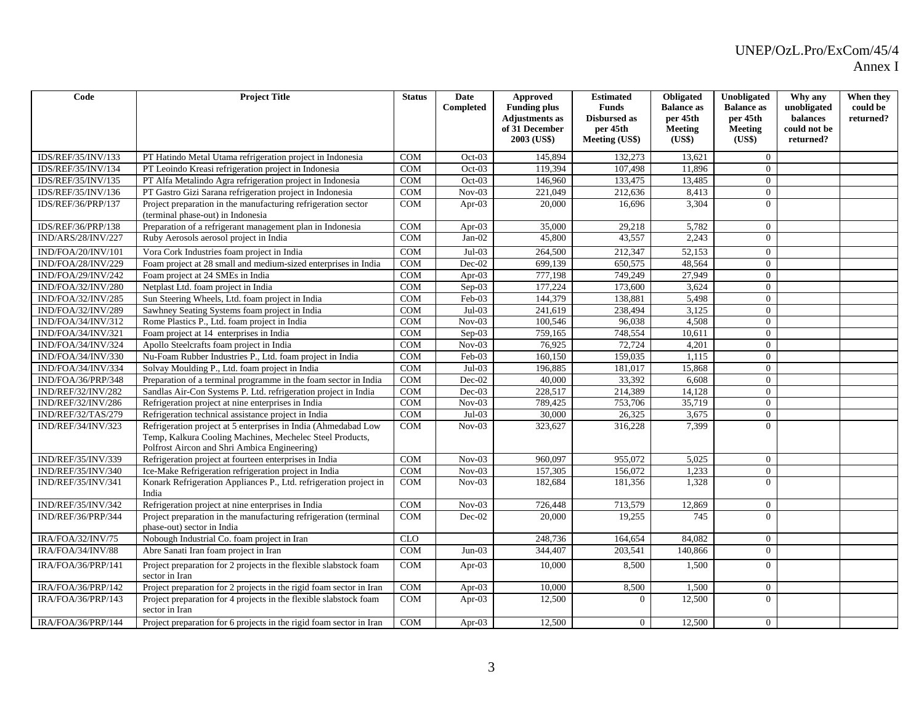| Code               | <b>Project Title</b>                                                                                                                                                       | <b>Status</b> | <b>Date</b><br>Completed | <b>Approved</b><br><b>Funding plus</b><br><b>Adjustments</b> as<br>of 31 December<br>2003 (US\$) | <b>Estimated</b><br><b>Funds</b><br>Disbursed as<br>per 45th<br>Meeting (US\$) | <b>Obligated</b><br><b>Balance as</b><br>per 45th<br><b>Meeting</b><br>(US\$) | Unobligated<br><b>Balance as</b><br>per 45th<br><b>Meeting</b><br>(US\$) | Why any<br>unobligated<br>balances<br>could not be<br>returned? | When they<br>could be<br>returned? |
|--------------------|----------------------------------------------------------------------------------------------------------------------------------------------------------------------------|---------------|--------------------------|--------------------------------------------------------------------------------------------------|--------------------------------------------------------------------------------|-------------------------------------------------------------------------------|--------------------------------------------------------------------------|-----------------------------------------------------------------|------------------------------------|
| IDS/REF/35/INV/133 | PT Hatindo Metal Utama refrigeration project in Indonesia                                                                                                                  | <b>COM</b>    | $Oct-03$                 | 145,894                                                                                          | 132,273                                                                        | 13,621                                                                        | $\overline{0}$                                                           |                                                                 |                                    |
| IDS/REF/35/INV/134 | PT Leoindo Kreasi refrigeration project in Indonesia                                                                                                                       | <b>COM</b>    | $Oct-03$                 | 119,394                                                                                          | 107,498                                                                        | 11,896                                                                        | $\overline{0}$                                                           |                                                                 |                                    |
| IDS/REF/35/INV/135 | PT Alfa Metalindo Agra refrigeration project in Indonesia                                                                                                                  | <b>COM</b>    | $Oct-03$                 | 146,960                                                                                          | 133,475                                                                        | 13,485                                                                        | $\Omega$                                                                 |                                                                 |                                    |
| IDS/REF/35/INV/136 | PT Gastro Gizi Sarana refrigeration project in Indonesia                                                                                                                   | <b>COM</b>    | $Nov-03$                 | 221,049                                                                                          | 212,636                                                                        | 8,413                                                                         | $\Omega$                                                                 |                                                                 |                                    |
| IDS/REF/36/PRP/137 | Project preparation in the manufacturing refrigeration sector<br>(terminal phase-out) in Indonesia                                                                         | COM           | Apr- $03$                | 20,000                                                                                           | 16,696                                                                         | 3,304                                                                         | $\Omega$                                                                 |                                                                 |                                    |
| IDS/REF/36/PRP/138 | Preparation of a refrigerant management plan in Indonesia                                                                                                                  | <b>COM</b>    | Apr-03                   | 35,000                                                                                           | 29,218                                                                         | 5,782                                                                         | $\overline{0}$                                                           |                                                                 |                                    |
| IND/ARS/28/INV/227 | Ruby Aerosols aerosol project in India                                                                                                                                     | <b>COM</b>    | $Jan-02$                 | 45,800                                                                                           | 43,557                                                                         | 2,243                                                                         | $\Omega$                                                                 |                                                                 |                                    |
| IND/FOA/20/INV/101 | Vora Cork Industries foam project in India                                                                                                                                 | <b>COM</b>    | $Jul-03$                 | 264,500                                                                                          | 212,347                                                                        | 52,153                                                                        | $\overline{0}$                                                           |                                                                 |                                    |
| IND/FOA/28/INV/229 | Foam project at 28 small and medium-sized enterprises in India                                                                                                             | <b>COM</b>    | Dec-02                   | 699,139                                                                                          | 650,575                                                                        | 48,564                                                                        | $\overline{0}$                                                           |                                                                 |                                    |
| IND/FOA/29/INV/242 | Foam project at 24 SMEs in India                                                                                                                                           | <b>COM</b>    | Apr- $03$                | 777.198                                                                                          | 749.249                                                                        | 27,949                                                                        | $\theta$                                                                 |                                                                 |                                    |
| IND/FOA/32/INV/280 | Netplast Ltd. foam project in India                                                                                                                                        | <b>COM</b>    | Sep-03                   | 177,224                                                                                          | 173,600                                                                        | 3,624                                                                         | $\theta$                                                                 |                                                                 |                                    |
| IND/FOA/32/INV/285 | Sun Steering Wheels, Ltd. foam project in India                                                                                                                            | <b>COM</b>    | $Feb-03$                 | 144,379                                                                                          | 138,881                                                                        | 5,498                                                                         | $\mathbf{0}$                                                             |                                                                 |                                    |
| IND/FOA/32/INV/289 | Sawhney Seating Systems foam project in India                                                                                                                              | <b>COM</b>    | $Jul-03$                 | 241,619                                                                                          | 238,494                                                                        | 3,125                                                                         | $\overline{0}$                                                           |                                                                 |                                    |
| IND/FOA/34/INV/312 | Rome Plastics P., Ltd. foam project in India                                                                                                                               | <b>COM</b>    | $Nov-03$                 | 100,546                                                                                          | 96,038                                                                         | 4,508                                                                         | $\overline{0}$                                                           |                                                                 |                                    |
| IND/FOA/34/INV/321 | Foam project at 14 enterprises in India                                                                                                                                    | <b>COM</b>    | $Sep-03$                 | 759,165                                                                                          | 748.554                                                                        | 10.611                                                                        | $\Omega$                                                                 |                                                                 |                                    |
| IND/FOA/34/INV/324 | Apollo Steelcrafts foam project in India                                                                                                                                   | <b>COM</b>    | $Nov-03$                 | 76,925                                                                                           | 72,724                                                                         | 4,201                                                                         | $\overline{0}$                                                           |                                                                 |                                    |
| IND/FOA/34/INV/330 | Nu-Foam Rubber Industries P., Ltd. foam project in India                                                                                                                   | COM           | Feb-03                   | 160,150                                                                                          | 159,035                                                                        | 1,115                                                                         | $\overline{0}$                                                           |                                                                 |                                    |
| IND/FOA/34/INV/334 | Solvay Moulding P., Ltd. foam project in India                                                                                                                             | <b>COM</b>    | $Jul-03$                 | 196,885                                                                                          | 181,017                                                                        | 15,868                                                                        | $\overline{0}$                                                           |                                                                 |                                    |
| IND/FOA/36/PRP/348 | Preparation of a terminal programme in the foam sector in India                                                                                                            | COM           | $Dec-02$                 | 40,000                                                                                           | 33,392                                                                         | 6,608                                                                         | $\overline{0}$                                                           |                                                                 |                                    |
| IND/REF/32/INV/282 | Sandlas Air-Con Systems P. Ltd. refrigeration project in India                                                                                                             | <b>COM</b>    | $Dec-03$                 | 228,517                                                                                          | 214,389                                                                        | 14,128                                                                        | $\mathbf{0}$                                                             |                                                                 |                                    |
| IND/REF/32/INV/286 | Refrigeration project at nine enterprises in India                                                                                                                         | <b>COM</b>    | $Nov-03$                 | 789,425                                                                                          | 753,706                                                                        | 35,719                                                                        | $\theta$                                                                 |                                                                 |                                    |
| IND/REF/32/TAS/279 | Refrigeration technical assistance project in India                                                                                                                        | <b>COM</b>    | $Jul-03$                 | 30,000                                                                                           | 26,325                                                                         | 3,675                                                                         | $\overline{0}$                                                           |                                                                 |                                    |
| IND/REF/34/INV/323 | Refrigeration project at 5 enterprises in India (Ahmedabad Low<br>Temp, Kalkura Cooling Machines, Mechelec Steel Products,<br>Polfrost Aircon and Shri Ambica Engineering) | <b>COM</b>    | $Nov-03$                 | 323,627                                                                                          | 316,228                                                                        | 7.399                                                                         | $\Omega$                                                                 |                                                                 |                                    |
| IND/REF/35/INV/339 | Refrigeration project at fourteen enterprises in India                                                                                                                     | <b>COM</b>    | $Nov-03$                 | 960.097                                                                                          | 955,072                                                                        | 5,025                                                                         | $\overline{0}$                                                           |                                                                 |                                    |
| IND/REF/35/INV/340 | Ice-Make Refrigeration refrigeration project in India                                                                                                                      | <b>COM</b>    | $Nov-03$                 | 157,305                                                                                          | 156,072                                                                        | 1,233                                                                         | $\theta$                                                                 |                                                                 |                                    |
| IND/REF/35/INV/341 | Konark Refrigeration Appliances P., Ltd. refrigeration project in<br>India                                                                                                 | <b>COM</b>    | $Nov-03$                 | 182,684                                                                                          | 181,356                                                                        | 1,328                                                                         | $\Omega$                                                                 |                                                                 |                                    |
| IND/REF/35/INV/342 | Refrigeration project at nine enterprises in India                                                                                                                         | <b>COM</b>    | $Nov-03$                 | 726,448                                                                                          | 713,579                                                                        | 12,869                                                                        | $\overline{0}$                                                           |                                                                 |                                    |
| IND/REF/36/PRP/344 | Project preparation in the manufacturing refrigeration (terminal<br>phase-out) sector in India                                                                             | <b>COM</b>    | $Dec-02$                 | 20,000                                                                                           | 19,255                                                                         | 745                                                                           | $\Omega$                                                                 |                                                                 |                                    |
| IRA/FOA/32/INV/75  | Nobough Industrial Co. foam project in Iran                                                                                                                                | <b>CLO</b>    |                          | 248,736                                                                                          | 164,654                                                                        | 84,082                                                                        | $\Omega$                                                                 |                                                                 |                                    |
| IRA/FOA/34/INV/88  | Abre Sanati Iran foam project in Iran                                                                                                                                      | <b>COM</b>    | $Jun-03$                 | 344,407                                                                                          | 203,541                                                                        | 140,866                                                                       | $\theta$                                                                 |                                                                 |                                    |
| IRA/FOA/36/PRP/141 | Project preparation for 2 projects in the flexible slabstock foam<br>sector in Iran                                                                                        | <b>COM</b>    | Apr-03                   | 10,000                                                                                           | 8,500                                                                          | 1,500                                                                         | $\Omega$                                                                 |                                                                 |                                    |
| IRA/FOA/36/PRP/142 | Project preparation for 2 projects in the rigid foam sector in Iran                                                                                                        | <b>COM</b>    | Apr- $03$                | 10,000                                                                                           | 8,500                                                                          | 1,500                                                                         | $\overline{0}$                                                           |                                                                 |                                    |
| IRA/FOA/36/PRP/143 | Project preparation for 4 projects in the flexible slabstock foam<br>sector in Iran                                                                                        | COM           | Apr-03                   | 12,500                                                                                           | $\Omega$                                                                       | 12,500                                                                        | $\Omega$                                                                 |                                                                 |                                    |
| IRA/FOA/36/PRP/144 | Project preparation for 6 projects in the rigid foam sector in Iran                                                                                                        | <b>COM</b>    | Apr-03                   | 12,500                                                                                           | $\overline{0}$                                                                 | 12,500                                                                        | $\overline{0}$                                                           |                                                                 |                                    |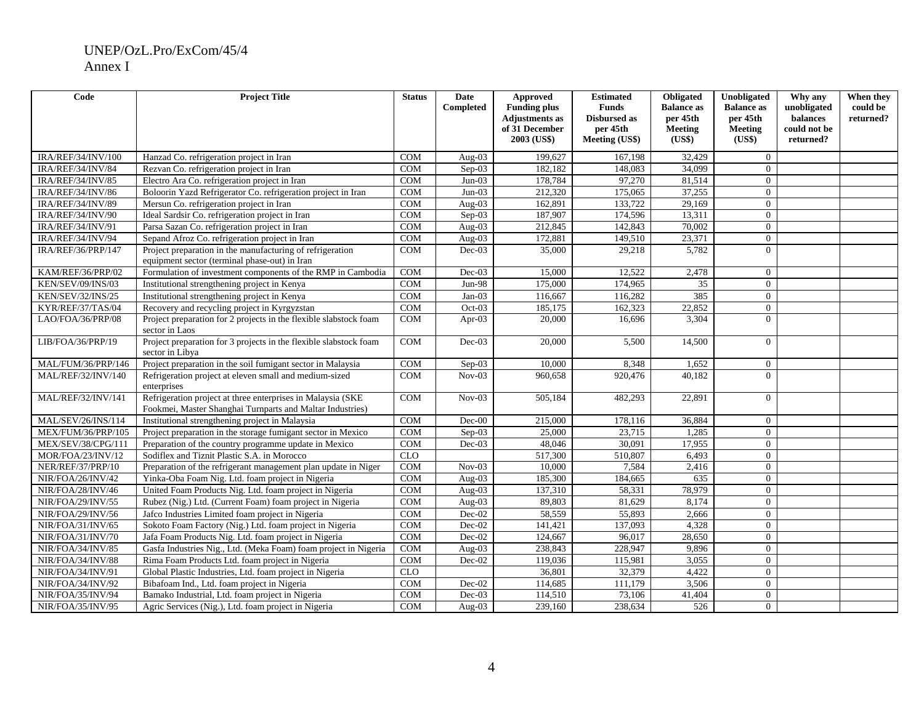| Code               | <b>Project Title</b>                                                                                                     | <b>Status</b> | <b>Date</b><br>Completed   | Approved<br><b>Funding plus</b><br><b>Adjustments</b> as<br>of 31 December<br>2003 (US\$) | <b>Estimated</b><br><b>Funds</b><br>Disbursed as<br>per 45th<br>Meeting (US\$) | Obligated<br><b>Balance as</b><br>per 45th<br><b>Meeting</b><br>(US\$) | Unobligated<br><b>Balance as</b><br>per 45th<br>Meeting<br>(US\$) | Why any<br>unobligated<br>balances<br>could not be<br>returned? | When they<br>could be<br>returned? |
|--------------------|--------------------------------------------------------------------------------------------------------------------------|---------------|----------------------------|-------------------------------------------------------------------------------------------|--------------------------------------------------------------------------------|------------------------------------------------------------------------|-------------------------------------------------------------------|-----------------------------------------------------------------|------------------------------------|
| IRA/REF/34/INV/100 | Hanzad Co. refrigeration project in Iran                                                                                 | <b>COM</b>    | Aug- $03$                  | 199,627                                                                                   | 167.198                                                                        | 32,429                                                                 | $\Omega$                                                          |                                                                 |                                    |
| IRA/REF/34/INV/84  | Rezvan Co. refrigeration project in Iran                                                                                 | <b>COM</b>    | Sep-03                     | 182,182                                                                                   | 148,083                                                                        | 34,099                                                                 | $\Omega$                                                          |                                                                 |                                    |
| IRA/REF/34/INV/85  | Electro Ara Co. refrigeration project in Iran                                                                            | <b>COM</b>    | $Jun-03$                   | 178,784                                                                                   | 97,270                                                                         | 81,514                                                                 | $\overline{0}$                                                    |                                                                 |                                    |
| IRA/REF/34/INV/86  | Boloorin Yazd Refrigerator Co. refrigeration project in Iran                                                             | <b>COM</b>    | $Jun-03$                   | 212,320                                                                                   | 175,065                                                                        | 37,255                                                                 | $\Omega$                                                          |                                                                 |                                    |
| IRA/REF/34/INV/89  | Mersun Co. refrigeration project in Iran                                                                                 | <b>COM</b>    | Aug-03                     | 162,891                                                                                   | 133,722                                                                        | 29,169                                                                 | $\Omega$                                                          |                                                                 |                                    |
| IRA/REF/34/INV/90  | Ideal Sardsir Co. refrigeration project in Iran                                                                          | COM           | Sep-03                     | 187,907                                                                                   | 174,596                                                                        | 13,311                                                                 | $\Omega$                                                          |                                                                 |                                    |
| IRA/REF/34/INV/91  | Parsa Sazan Co. refrigeration project in Iran                                                                            | <b>COM</b>    | $Aug-03$                   | 212,845                                                                                   | 142,843                                                                        | 70,002                                                                 | $\overline{0}$                                                    |                                                                 |                                    |
| IRA/REF/34/INV/94  | Sepand Afroz Co. refrigeration project in Iran                                                                           | <b>COM</b>    | Aug- $03$                  | 172,881                                                                                   | 149,510                                                                        | 23,371                                                                 | $\overline{0}$                                                    |                                                                 |                                    |
| IRA/REF/36/PRP/147 | Project preparation in the manufacturing of refrigeration<br>equipment sector (terminal phase-out) in Iran               | <b>COM</b>    | $Dec-03$                   | 35,000                                                                                    | 29,218                                                                         | 5,782                                                                  | $\Omega$                                                          |                                                                 |                                    |
| KAM/REF/36/PRP/02  | Formulation of investment components of the RMP in Cambodia                                                              | <b>COM</b>    | Dec-03                     | 15,000                                                                                    | 12,522                                                                         | 2,478                                                                  | $\overline{0}$                                                    |                                                                 |                                    |
| KEN/SEV/09/INS/03  | Institutional strengthening project in Kenya                                                                             | <b>COM</b>    | Jun-98                     | 175,000                                                                                   | 174,965                                                                        | 35                                                                     | $\theta$                                                          |                                                                 |                                    |
| KEN/SEV/32/INS/25  | Institutional strengthening project in Kenya                                                                             | <b>COM</b>    | $Jan-03$                   | 116,667                                                                                   | 116,282                                                                        | 385                                                                    | $\theta$                                                          |                                                                 |                                    |
| KYR/REF/37/TAS/04  | Recovery and recycling project in Kyrgyzstan                                                                             | <b>COM</b>    | $Oct-03$                   | 185,175                                                                                   | 162,323                                                                        | 22,852                                                                 | $\Omega$                                                          |                                                                 |                                    |
| LAO/FOA/36/PRP/08  | Project preparation for 2 projects in the flexible slabstock foam<br>sector in Laos                                      | <b>COM</b>    | Apr-03                     | 20,000                                                                                    | 16,696                                                                         | 3,304                                                                  | $\Omega$                                                          |                                                                 |                                    |
| LIB/FOA/36/PRP/19  | Project preparation for 3 projects in the flexible slabstock foam<br>sector in Libya                                     | <b>COM</b>    | $Dec-03$                   | 20,000                                                                                    | 5,500                                                                          | 14,500                                                                 | $\Omega$                                                          |                                                                 |                                    |
| MAL/FUM/36/PRP/146 | Project preparation in the soil fumigant sector in Malaysia                                                              | <b>COM</b>    | Sep-03                     | 10,000                                                                                    | 8,348                                                                          | 1,652                                                                  | $\overline{0}$                                                    |                                                                 |                                    |
| MAL/REF/32/INV/140 | Refrigeration project at eleven small and medium-sized<br>enterprises                                                    | <b>COM</b>    | $\overline{\text{Nov-03}}$ | 960,658                                                                                   | 920,476                                                                        | 40,182                                                                 | $\Omega$                                                          |                                                                 |                                    |
| MAL/REF/32/INV/141 | Refrigeration project at three enterprises in Malaysia (SKE<br>Fookmei, Master Shanghai Turnparts and Maltar Industries) | <b>COM</b>    | $Nov-03$                   | 505,184                                                                                   | 482,293                                                                        | 22,891                                                                 | $\Omega$                                                          |                                                                 |                                    |
| MAL/SEV/26/INS/114 | Institutional strengthening project in Malaysia                                                                          | <b>COM</b>    | $Dec-00$                   | 215,000                                                                                   | 178,116                                                                        | 36,884                                                                 | $\overline{0}$                                                    |                                                                 |                                    |
| MEX/FUM/36/PRP/105 | Project preparation in the storage fumigant sector in Mexico                                                             | <b>COM</b>    | $Sep-03$                   | 25,000                                                                                    | 23,715                                                                         | 1,285                                                                  | $\overline{0}$                                                    |                                                                 |                                    |
| MEX/SEV/38/CPG/111 | Preparation of the country programme update in Mexico                                                                    | <b>COM</b>    | $Dec-03$                   | 48,046                                                                                    | 30,091                                                                         | 17,955                                                                 | $\Omega$                                                          |                                                                 |                                    |
| MOR/FOA/23/INV/12  | Sodiflex and Tiznit Plastic S.A. in Morocco                                                                              | <b>CLO</b>    |                            | 517,300                                                                                   | 510,807                                                                        | 6,493                                                                  | $\theta$                                                          |                                                                 |                                    |
| NER/REF/37/PRP/10  | Preparation of the refrigerant management plan update in Niger                                                           | <b>COM</b>    | $Nov-03$                   | 10,000                                                                                    | 7,584                                                                          | 2,416                                                                  | $\Omega$                                                          |                                                                 |                                    |
| NIR/FOA/26/INV/42  | Yinka-Oba Foam Nig. Ltd. foam project in Nigeria                                                                         | COM           | Aug-03                     | 185,300                                                                                   | 184,665                                                                        | 635                                                                    | $\Omega$                                                          |                                                                 |                                    |
| NIR/FOA/28/INV/46  | United Foam Products Nig. Ltd. foam project in Nigeria                                                                   | <b>COM</b>    | Aug-03                     | 137,310                                                                                   | 58,331                                                                         | 78,979                                                                 | $\overline{0}$                                                    |                                                                 |                                    |
| NIR/FOA/29/INV/55  | Rubez (Nig.) Ltd. (Current Foam) foam project in Nigeria                                                                 | COM           | Aug-03                     | 89,803                                                                                    | 81,629                                                                         | 8,174                                                                  | $\overline{0}$                                                    |                                                                 |                                    |
| NIR/FOA/29/INV/56  | Jafco Industries Limited foam project in Nigeria                                                                         | <b>COM</b>    | Dec-02                     | 58,559                                                                                    | 55,893                                                                         | 2,666                                                                  | $\overline{0}$                                                    |                                                                 |                                    |
| NIR/FOA/31/INV/65  | Sokoto Foam Factory (Nig.) Ltd. foam project in Nigeria                                                                  | <b>COM</b>    | Dec-02                     | 141,421                                                                                   | 137,093                                                                        | 4,328                                                                  | $\overline{0}$                                                    |                                                                 |                                    |
| NIR/FOA/31/INV/70  | Jafa Foam Products Nig. Ltd. foam project in Nigeria                                                                     | <b>COM</b>    | Dec-02                     | 124,667                                                                                   | 96,017                                                                         | 28,650                                                                 | $\Omega$                                                          |                                                                 |                                    |
| NIR/FOA/34/INV/85  | Gasfa Industries Nig., Ltd. (Meka Foam) foam project in Nigeria                                                          | <b>COM</b>    | Aug- $03$                  | 238,843                                                                                   | 228,947                                                                        | 9,896                                                                  | $\overline{0}$                                                    |                                                                 |                                    |
| NIR/FOA/34/INV/88  | Rima Foam Products Ltd. foam project in Nigeria                                                                          | <b>COM</b>    | Dec-02                     | 119,036                                                                                   | 115,981                                                                        | 3,055                                                                  | $\Omega$                                                          |                                                                 |                                    |
| NIR/FOA/34/INV/91  | Global Plastic Industries, Ltd. foam project in Nigeria                                                                  | CLO           |                            | 36,801                                                                                    | 32,379                                                                         | 4,422                                                                  | $\theta$                                                          |                                                                 |                                    |
| NIR/FOA/34/INV/92  | Bibafoam Ind., Ltd. foam project in Nigeria                                                                              | <b>COM</b>    | $Dec-02$                   | 114,685                                                                                   | 111,179                                                                        | 3,506                                                                  | $\Omega$                                                          |                                                                 |                                    |
| NIR/FOA/35/INV/94  | Bamako Industrial, Ltd. foam project in Nigeria                                                                          | <b>COM</b>    | $Dec-03$                   | 114,510                                                                                   | 73,106                                                                         | 41,404                                                                 | $\overline{0}$                                                    |                                                                 |                                    |
| NIR/FOA/35/INV/95  | Agric Services (Nig.), Ltd. foam project in Nigeria                                                                      | <b>COM</b>    | Aug- $03$                  | 239,160                                                                                   | 238,634                                                                        | $\overline{526}$                                                       | $\Omega$                                                          |                                                                 |                                    |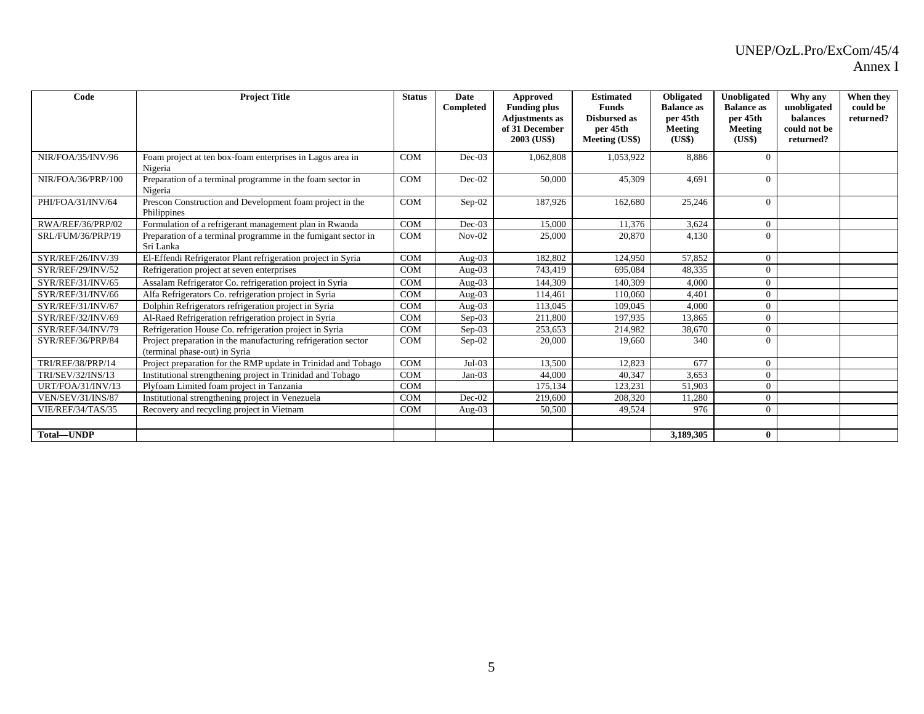| Code               | <b>Project Title</b>                                                                           | <b>Status</b> | Date<br>Completed | Approved<br><b>Funding plus</b><br><b>Adjustments</b> as<br>of 31 December<br>2003 (US\$) | <b>Estimated</b><br><b>Funds</b><br><b>Disbursed as</b><br>per 45th<br>Meeting (US\$) | Obligated<br><b>Balance</b> as<br>per 45th<br>Meeting<br>(US\$) | Unobligated<br><b>Balance as</b><br>per 45th<br><b>Meeting</b><br>(US\$) | Why any<br>unobligated<br>balances<br>could not be<br>returned? | When they<br>could be<br>returned? |
|--------------------|------------------------------------------------------------------------------------------------|---------------|-------------------|-------------------------------------------------------------------------------------------|---------------------------------------------------------------------------------------|-----------------------------------------------------------------|--------------------------------------------------------------------------|-----------------------------------------------------------------|------------------------------------|
| NIR/FOA/35/INV/96  | Foam project at ten box-foam enterprises in Lagos area in<br>Nigeria                           | <b>COM</b>    | $Dec-03$          | 1,062,808                                                                                 | 1.053.922                                                                             | 8,886                                                           | $\Omega$                                                                 |                                                                 |                                    |
| NIR/FOA/36/PRP/100 | Preparation of a terminal programme in the foam sector in<br>Nigeria                           | <b>COM</b>    | Dec-02            | 50,000                                                                                    | 45,309                                                                                | 4,691                                                           | $\Omega$                                                                 |                                                                 |                                    |
| PHI/FOA/31/INV/64  | Prescon Construction and Development foam project in the<br>Philippines                        | <b>COM</b>    | Sep-02            | 187,926                                                                                   | 162,680                                                                               | 25,246                                                          | $\Omega$                                                                 |                                                                 |                                    |
| RWA/REF/36/PRP/02  | Formulation of a refrigerant management plan in Rwanda                                         | <b>COM</b>    | $Dec-03$          | 15.000                                                                                    | 11.376                                                                                | 3,624                                                           | $\overline{0}$                                                           |                                                                 |                                    |
| SRL/FUM/36/PRP/19  | Preparation of a terminal programme in the fumigant sector in<br>Sri Lanka                     | <b>COM</b>    | $Nov-02$          | 25,000                                                                                    | 20,870                                                                                | 4,130                                                           | $\Omega$                                                                 |                                                                 |                                    |
| SYR/REF/26/INV/39  | El-Effendi Refrigerator Plant refrigeration project in Syria                                   | <b>COM</b>    | Aug- $03$         | 182,802                                                                                   | 124,950                                                                               | 57,852                                                          | $\Omega$                                                                 |                                                                 |                                    |
| SYR/REF/29/INV/52  | Refrigeration project at seven enterprises                                                     | <b>COM</b>    | Aug- $03$         | 743,419                                                                                   | 695,084                                                                               | 48,335                                                          | $\Omega$                                                                 |                                                                 |                                    |
| SYR/REF/31/INV/65  | Assalam Refrigerator Co. refrigeration project in Syria                                        | <b>COM</b>    | Aug- $03$         | 144,309                                                                                   | 140.309                                                                               | 4,000                                                           | $\Omega$                                                                 |                                                                 |                                    |
| SYR/REF/31/INV/66  | Alfa Refrigerators Co. refrigeration project in Syria                                          | <b>COM</b>    | Aug- $03$         | 114,461                                                                                   | 110,060                                                                               | 4,401                                                           | $\Omega$                                                                 |                                                                 |                                    |
| SYR/REF/31/INV/67  | Dolphin Refrigerators refrigeration project in Syria                                           | <b>COM</b>    | Aug- $03$         | 113,045                                                                                   | 109,045                                                                               | 4,000                                                           | $\Omega$                                                                 |                                                                 |                                    |
| SYR/REF/32/INV/69  | Al-Raed Refrigeration refrigeration project in Syria                                           | <b>COM</b>    | $Sep-03$          | 211,800                                                                                   | 197.935                                                                               | 13,865                                                          | $\Omega$                                                                 |                                                                 |                                    |
| SYR/REF/34/INV/79  | Refrigeration House Co. refrigeration project in Syria                                         | <b>COM</b>    | $Sep-03$          | 253,653                                                                                   | 214,982                                                                               | 38,670                                                          | $\Omega$                                                                 |                                                                 |                                    |
| SYR/REF/36/PRP/84  | Project preparation in the manufacturing refrigeration sector<br>(terminal phase-out) in Syria | <b>COM</b>    | $Sep-02$          | 20,000                                                                                    | 19.660                                                                                | 340                                                             | $\Omega$                                                                 |                                                                 |                                    |
| TRI/REF/38/PRP/14  | Project preparation for the RMP update in Trinidad and Tobago                                  | <b>COM</b>    | $Jul-03$          | 13,500                                                                                    | 12.823                                                                                | 677                                                             | $\Omega$                                                                 |                                                                 |                                    |
| TRI/SEV/32/INS/13  | Institutional strengthening project in Trinidad and Tobago                                     | <b>COM</b>    | $Jan-03$          | 44,000                                                                                    | 40,347                                                                                | 3,653                                                           | $\Omega$                                                                 |                                                                 |                                    |
| URT/FOA/31/INV/13  | Plyfoam Limited foam project in Tanzania                                                       | <b>COM</b>    |                   | 175,134                                                                                   | 123,231                                                                               | 51,903                                                          | $\Omega$                                                                 |                                                                 |                                    |
| VEN/SEV/31/INS/87  | Institutional strengthening project in Venezuela                                               | <b>COM</b>    | $Dec-02$          | 219,600                                                                                   | 208,320                                                                               | 11,280                                                          | $\overline{0}$                                                           |                                                                 |                                    |
| VIE/REF/34/TAS/35  | Recovery and recycling project in Vietnam                                                      | <b>COM</b>    | Aug- $03$         | 50,500                                                                                    | 49.524                                                                                | 976                                                             | $\Omega$                                                                 |                                                                 |                                    |
|                    |                                                                                                |               |                   |                                                                                           |                                                                                       |                                                                 |                                                                          |                                                                 |                                    |
| Total-UNDP         |                                                                                                |               |                   |                                                                                           |                                                                                       | 3,189,305                                                       | $\mathbf{0}$                                                             |                                                                 |                                    |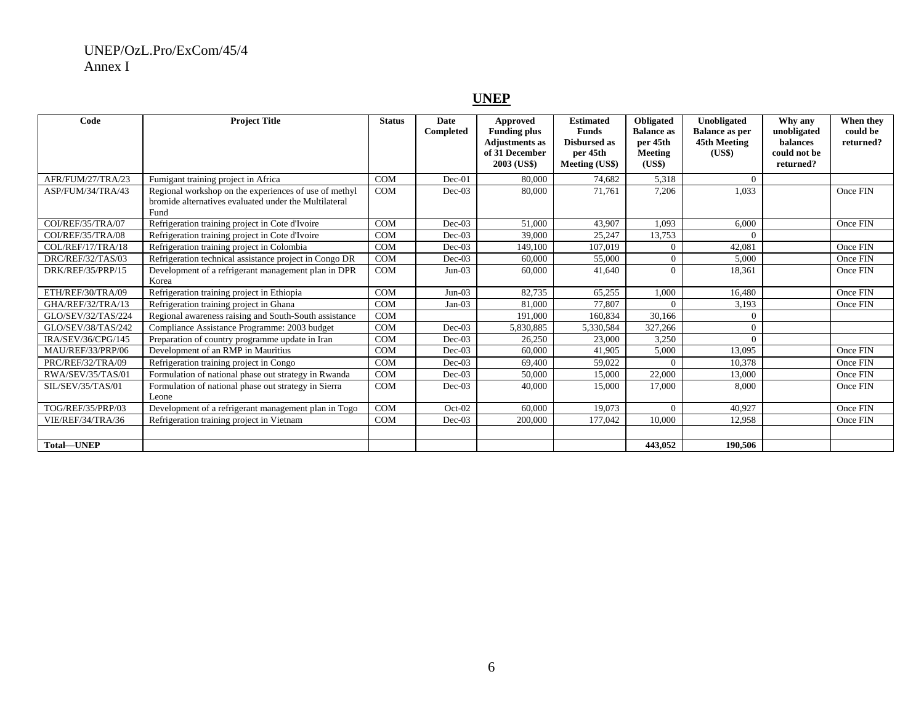#### **UNEP**

| Code               | <b>Project Title</b>                                                                                                   | <b>Status</b> | Date<br>Completed | Approved<br><b>Funding plus</b><br><b>Adjustments as</b><br>of 31 December<br>2003 (US\$) | <b>Estimated</b><br><b>Funds</b><br><b>Disbursed as</b><br>per 45th<br>Meeting (US\$) | <b>Obligated</b><br><b>Balance</b> as<br>per 45th<br>Meeting<br>( <b>US5</b> ) | Unobligated<br><b>Balance as per</b><br>45th Meeting<br>(US\$) | Why any<br>unobligated<br>balances<br>could not be<br>returned? | When they<br>could be<br>returned? |
|--------------------|------------------------------------------------------------------------------------------------------------------------|---------------|-------------------|-------------------------------------------------------------------------------------------|---------------------------------------------------------------------------------------|--------------------------------------------------------------------------------|----------------------------------------------------------------|-----------------------------------------------------------------|------------------------------------|
| AFR/FUM/27/TRA/23  | Fumigant training project in Africa                                                                                    | <b>COM</b>    | Dec-01            | 80,000                                                                                    | 74.682                                                                                | 5,318                                                                          | $\Omega$                                                       |                                                                 |                                    |
| ASP/FUM/34/TRA/43  | Regional workshop on the experiences of use of methyl<br>bromide alternatives evaluated under the Multilateral<br>Fund | <b>COM</b>    | $Dec-03$          | 80,000                                                                                    | 71,761                                                                                | 7,206                                                                          | 1,033                                                          |                                                                 | Once FIN                           |
| COI/REF/35/TRA/07  | Refrigeration training project in Cote d'Ivoire                                                                        | <b>COM</b>    | $Dec-03$          | 51,000                                                                                    | 43,907                                                                                | 1.093                                                                          | 6.000                                                          |                                                                 | Once FIN                           |
| COI/REF/35/TRA/08  | Refrigeration training project in Cote d'Ivoire                                                                        | <b>COM</b>    | $Dec-03$          | 39,000                                                                                    | 25.247                                                                                | 13,753                                                                         | $\Omega$                                                       |                                                                 |                                    |
| COL/REF/17/TRA/18  | Refrigeration training project in Colombia                                                                             | <b>COM</b>    | $Dec-03$          | 149,100                                                                                   | 107.019                                                                               | $\Omega$                                                                       | 42,081                                                         |                                                                 | Once FIN                           |
| DRC/REF/32/TAS/03  | Refrigeration technical assistance project in Congo DR                                                                 | <b>COM</b>    | $Dec-03$          | 60,000                                                                                    | 55,000                                                                                | $\Omega$                                                                       | 5.000                                                          |                                                                 | Once FIN                           |
| DRK/REF/35/PRP/15  | Development of a refrigerant management plan in DPR<br>Korea                                                           | <b>COM</b>    | $Jun-03$          | 60,000                                                                                    | 41,640                                                                                | $\Omega$                                                                       | 18,361                                                         |                                                                 | Once FIN                           |
| ETH/REF/30/TRA/09  | Refrigeration training project in Ethiopia                                                                             | <b>COM</b>    | $Jun-03$          | 82,735                                                                                    | 65,255                                                                                | 1,000                                                                          | 16,480                                                         |                                                                 | Once FIN                           |
| GHA/REF/32/TRA/13  | Refrigeration training project in Ghana                                                                                | <b>COM</b>    | $Jan-03$          | 81,000                                                                                    | 77,807                                                                                | $\Omega$                                                                       | 3,193                                                          |                                                                 | Once FIN                           |
| GLO/SEV/32/TAS/224 | Regional awareness raising and South-South assistance                                                                  | <b>COM</b>    |                   | 191,000                                                                                   | 160,834                                                                               | 30,166                                                                         | $\overline{0}$                                                 |                                                                 |                                    |
| GLO/SEV/38/TAS/242 | Compliance Assistance Programme: 2003 budget                                                                           | <b>COM</b>    | $Dec-03$          | 5,830,885                                                                                 | 5,330,584                                                                             | 327,266                                                                        | $\Omega$                                                       |                                                                 |                                    |
| IRA/SEV/36/CPG/145 | Preparation of country programme update in Iran                                                                        | <b>COM</b>    | $Dec-03$          | 26,250                                                                                    | 23,000                                                                                | 3,250                                                                          | $\Omega$                                                       |                                                                 |                                    |
| MAU/REF/33/PRP/06  | Development of an RMP in Mauritius                                                                                     | <b>COM</b>    | $Dec-03$          | 60,000                                                                                    | 41,905                                                                                | 5,000                                                                          | 13,095                                                         |                                                                 | Once FIN                           |
| PRC/REF/32/TRA/09  | Refrigeration training project in Congo                                                                                | <b>COM</b>    | $Dec-03$          | 69,400                                                                                    | 59,022                                                                                |                                                                                | 10,378                                                         |                                                                 | Once FIN                           |
| RWA/SEV/35/TAS/01  | Formulation of national phase out strategy in Rwanda                                                                   | <b>COM</b>    | $Dec-03$          | 50,000                                                                                    | 15,000                                                                                | 22,000                                                                         | 13,000                                                         |                                                                 | Once FIN                           |
| SIL/SEV/35/TAS/01  | Formulation of national phase out strategy in Sierra<br>Leone                                                          | <b>COM</b>    | $Dec-03$          | 40,000                                                                                    | 15,000                                                                                | 17,000                                                                         | 8.000                                                          |                                                                 | Once FIN                           |
| TOG/REF/35/PRP/03  | Development of a refrigerant management plan in Togo                                                                   | <b>COM</b>    | $Oct-02$          | 60,000                                                                                    | 19.073                                                                                | $\Omega$                                                                       | 40.927                                                         |                                                                 | Once FIN                           |
| VIE/REF/34/TRA/36  | Refrigeration training project in Vietnam                                                                              | <b>COM</b>    | $Dec-03$          | 200,000                                                                                   | 177,042                                                                               | 10,000                                                                         | 12,958                                                         |                                                                 | Once FIN                           |
|                    |                                                                                                                        |               |                   |                                                                                           |                                                                                       |                                                                                |                                                                |                                                                 |                                    |
| Total-UNEP         |                                                                                                                        |               |                   |                                                                                           |                                                                                       | 443.052                                                                        | 190.506                                                        |                                                                 |                                    |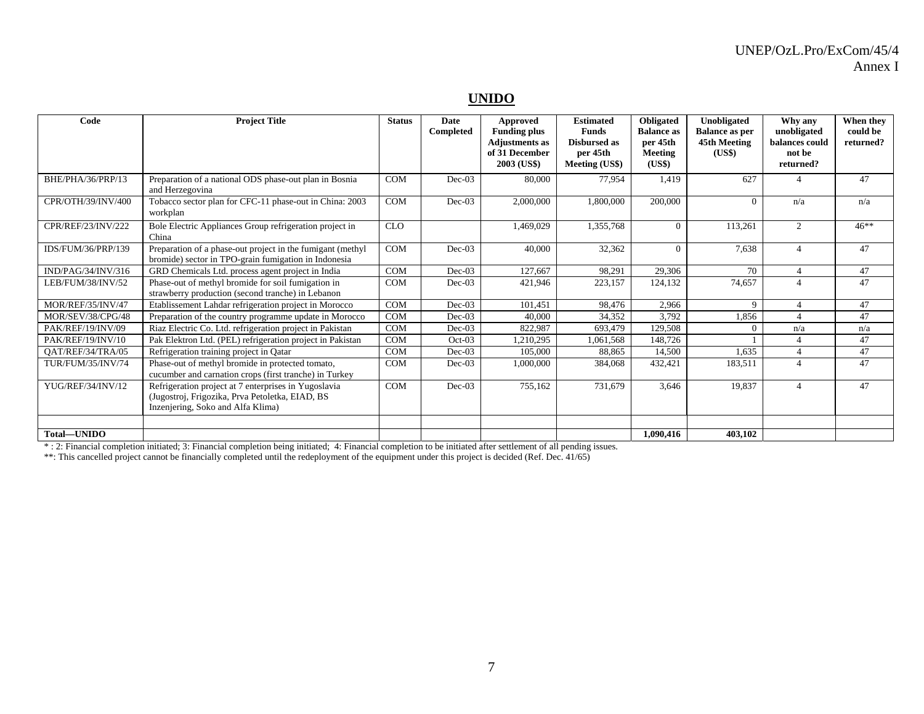#### **UNIDO**

| Code                     | <b>Project Title</b>                                                                                                                         | <b>Status</b> | Date<br>Completed | Approved<br><b>Funding plus</b><br><b>Adjustments as</b><br>of 31 December<br>2003 (US\$) | <b>Estimated</b><br><b>Funds</b><br><b>Disbursed as</b><br>per 45th<br>Meeting (US\$) | Obligated<br><b>Balance as</b><br>per 45th<br>Meeting<br>(US\$) | Unobligated<br><b>Balance as per</b><br>45th Meeting<br>(US\$) | Why any<br>unobligated<br>balances could<br>not be<br>returned? | When they<br>could be<br>returned? |
|--------------------------|----------------------------------------------------------------------------------------------------------------------------------------------|---------------|-------------------|-------------------------------------------------------------------------------------------|---------------------------------------------------------------------------------------|-----------------------------------------------------------------|----------------------------------------------------------------|-----------------------------------------------------------------|------------------------------------|
| BHE/PHA/36/PRP/13        | Preparation of a national ODS phase-out plan in Bosnia<br>and Herzegovina                                                                    | <b>COM</b>    | $Dec-03$          | 80,000                                                                                    | 77.954                                                                                | 1.419                                                           | 627                                                            |                                                                 | 47                                 |
| CPR/OTH/39/INV/400       | Tobacco sector plan for CFC-11 phase-out in China: 2003<br>workplan                                                                          | <b>COM</b>    | $Dec-03$          | 2,000,000                                                                                 | 1.800.000                                                                             | 200,000                                                         | $\theta$                                                       | n/a                                                             | n/a                                |
| CPR/REF/23/INV/222       | Bole Electric Appliances Group refrigeration project in<br>China                                                                             | <b>CLO</b>    |                   | 1,469,029                                                                                 | 1,355,768                                                                             | $\Omega$                                                        | 113,261                                                        | 2                                                               | $46***$                            |
| IDS/FUM/36/PRP/139       | Preparation of a phase-out project in the fumigant (methyl<br>bromide) sector in TPO-grain fumigation in Indonesia                           | <b>COM</b>    | $Dec-03$          | 40,000                                                                                    | 32,362                                                                                | $\Omega$                                                        | 7,638                                                          | $\overline{4}$                                                  | 47                                 |
| IND/PAG/34/INV/316       | GRD Chemicals Ltd. process agent project in India                                                                                            | COM           | $Dec-03$          | 127,667                                                                                   | 98,291                                                                                | 29,306                                                          | 70                                                             | $\overline{4}$                                                  | 47                                 |
| LEB/FUM/38/INV/52        | Phase-out of methyl bromide for soil fumigation in<br>strawberry production (second tranche) in Lebanon                                      | <b>COM</b>    | $Dec-03$          | 421,946                                                                                   | 223,157                                                                               | 124,132                                                         | 74,657                                                         |                                                                 | 47                                 |
| MOR/REF/35/INV/47        | Etablissement Lahdar refrigeration project in Morocco                                                                                        | COM           | $Dec-03$          | 101,451                                                                                   | 98,476                                                                                | 2,966                                                           | 9                                                              | $\overline{4}$                                                  | 47                                 |
| MOR/SEV/38/CPG/48        | Preparation of the country programme update in Morocco                                                                                       | COM           | $Dec-03$          | 40,000                                                                                    | 34,352                                                                                | 3,792                                                           | 1,856                                                          |                                                                 | 47                                 |
| PAK/REF/19/INV/09        | Riaz Electric Co. Ltd. refrigeration project in Pakistan                                                                                     | COM           | $Dec-03$          | 822,987                                                                                   | 693,479                                                                               | 129,508                                                         | $\Omega$                                                       | n/a                                                             | n/a                                |
| PAK/REF/19/INV/10        | Pak Elektron Ltd. (PEL) refrigeration project in Pakistan                                                                                    | COM           | $Oct-03$          | 1,210,295                                                                                 | 1,061,568                                                                             | 148,726                                                         |                                                                | $\boldsymbol{\varDelta}$                                        | 47                                 |
| OAT/REF/34/TRA/05        | Refrigeration training project in Qatar                                                                                                      | <b>COM</b>    | $Dec-03$          | 105,000                                                                                   | 88,865                                                                                | 14,500                                                          | 1,635                                                          | $\boldsymbol{\varDelta}$                                        | 47                                 |
| <b>TUR/FUM/35/INV/74</b> | Phase-out of methyl bromide in protected tomato,<br>cucumber and carnation crops (first tranche) in Turkey                                   | <b>COM</b>    | $Dec-03$          | 1,000,000                                                                                 | 384,068                                                                               | 432,421                                                         | 183,511                                                        | $\overline{4}$                                                  | 47                                 |
| YUG/REF/34/INV/12        | Refrigeration project at 7 enterprises in Yugoslavia<br>(Jugostroj, Frigozika, Prva Petoletka, EIAD, BS<br>Inzenjering, Soko and Alfa Klima) | <b>COM</b>    | $Dec-03$          | 755,162                                                                                   | 731,679                                                                               | 3,646                                                           | 19,837                                                         | $\boldsymbol{\varDelta}$                                        | 47                                 |
| Total-UNIDO              |                                                                                                                                              |               |                   |                                                                                           |                                                                                       | 1.090.416                                                       | 403.102                                                        |                                                                 |                                    |

\* : 2: Financial completion initiated; 3: Financial completion being initiated; 4: Financial completion to be initiated after settlement of all pending issues.

\*\*: This cancelled project cannot be financially completed until the redeployment of the equipment under this project is decided (Ref. Dec. 41/65)